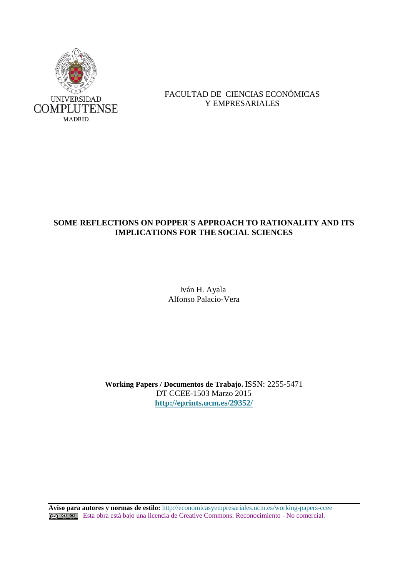

# FACULTAD DE CIENCIAS ECONÓMICAS Y EMPRESARIALES

# **SOME REFLECTIONS ON POPPER´S APPROACH TO RATIONALITY AND ITS IMPLICATIONS FOR THE SOCIAL SCIENCES**

 Iván H. Ayala Alfonso Palacio-Vera

**Working Papers / Documentos de Trabajo.** ISSN: 2255-5471 DT CCEE-1503 Marzo 2015 **<http://eprints.ucm.es/29352/>**

**Aviso para autores y normas de estilo:** <http://economicasyempresariales.ucm.es/working-papers-ccee> [Esta obra está bajo una licencia de Creative Commons: Reconocimiento -](http://creativecommons.org/licenses/by-nc/3.0/es/) No comercial.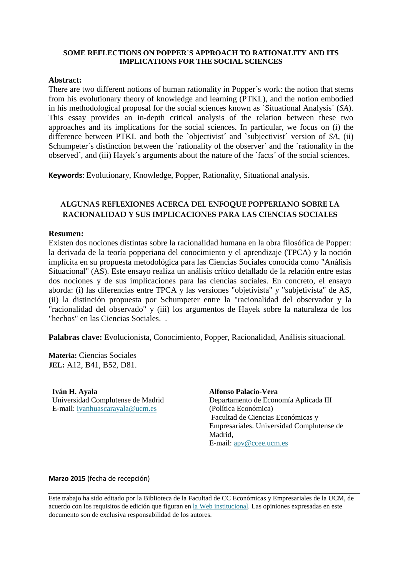# **SOME REFLECTIONS ON POPPER´S APPROACH TO RATIONALITY AND ITS IMPLICATIONS FOR THE SOCIAL SCIENCES**

## **Abstract:**

There are two different notions of human rationality in Popper´s work: the notion that stems from his evolutionary theory of knowledge and learning (PTKL), and the notion embodied in his methodological proposal for the social sciences known as `Situational Analysis´ (*SA*). This essay provides an in-depth critical analysis of the relation between these two approaches and its implications for the social sciences. In particular, we focus on (i) the difference between PTKL and both the `objectivist´ and `subjectivist´ version of *SA*, (ii) Schumpeter's distinction between the `rationality of the observer' and the `rationality in the observed´, and (iii) Hayek´s arguments about the nature of the `facts´ of the social sciences.

**Keywords**: Evolutionary, Knowledge, Popper, Rationality, Situational analysis.

# **ALGUNAS REFLEXIONES ACERCA DEL ENFOQUE POPPERIANO SOBRE LA RACIONALIDAD Y SUS IMPLICACIONES PARA LAS CIENCIAS SOCIALES**

# **Resumen:**

Existen dos nociones distintas sobre la racionalidad humana en la obra filosófica de Popper: la derivada de la teoría popperiana del conocimiento y el aprendizaje (TPCA) y la noción implícita en su propuesta metodológica para las Ciencias Sociales conocida como "Análisis Situacional" (AS). Este ensayo realiza un análisis crítico detallado de la relación entre estas dos nociones y de sus implicaciones para las ciencias sociales. En concreto, el ensayo aborda: (i) las diferencias entre TPCA y las versiones "objetivista" y "subjetivista" de AS, (ii) la distinción propuesta por Schumpeter entre la "racionalidad del observador y la "racionalidad del observado" y (iii) los argumentos de Hayek sobre la naturaleza de los "hechos" en las Ciencias Sociales. .

**Palabras clave:** Evolucionista, Conocimiento, Popper, Racionalidad, Análisis situacional.

**Materia:** Ciencias Sociales **JEL:** A12, B41, B52, D81.

**Iván H. Ayala**  Universidad Complutense de Madrid E-mail: [ivanhuascarayala@ucm.es](mailto:ivanhuascarayala@ucm.es)

**Alfonso Palacio-Vera** Departamento de Economía Aplicada III (Política Económica) Facultad de Ciencias Económicas y Empresariales. Universidad Complutense de Madrid, E-mail: [apv@ccee.ucm.es](mailto:apv@ccee.ucm.es)

**Marzo 2015** (fecha de recepción)

Este trabajo ha sido editado por la Biblioteca de la Facultad de CC Económicas y Empresariales de la UCM, de acuerdo con los requisitos de edición que figuran en la Web institucional. Las opiniones expresadas en este documento son de exclusiva responsabilidad de los autores.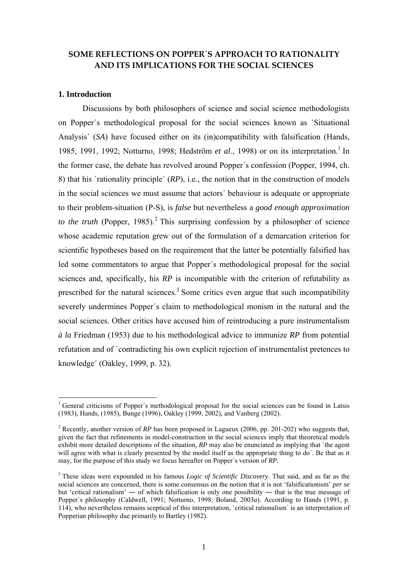# **SOME REFLECTIONS ON POPPER´S APPROACH TO RATIONALITY AND ITS IMPLICATIONS FOR THE SOCIAL SCIENCES**

### **1. Introduction**

1

Discussions by both philosophers of science and social science methodologists on Popper´s methodological proposal for the social sciences known as `Situational Analysis´ (*SA*) have focused either on its (in)compatibility with falsification (Hands, 1985, 1991, 1992; Notturno, 1998; Hedström et al., 1998) or on its interpretation.<sup>1</sup> In the former case, the debate has revolved around Popper´s confession (Popper, 1994, ch. 8) that his `rationality principle´ (*RP*), i.e., the notion that in the construction of models in the social sciences we must assume that actors´ behaviour is adequate or appropriate to their problem-situation (P-S), is *false* but nevertheless a *good enough approximation*  to the truth (Popper, 1985).<sup>2</sup> This surprising confession by a philosopher of science whose academic reputation grew out of the formulation of a demarcation criterion for scientific hypotheses based on the requirement that the latter be potentially falsified has led some commentators to argue that Popper´s methodological proposal for the social sciences and, specifically, his *RP* is incompatible with the criterion of refutability as prescribed for the natural sciences.<sup>3</sup> Some critics even argue that such incompatibility severely undermines Popper´s claim to methodological monism in the natural and the social sciences. Other critics have accused him of reintroducing a pure instrumentalism *à la* Friedman (1953) due to his methodological advice to immunize *RP* from potential refutation and of `contradicting his own explicit rejection of instrumentalist pretences to knowledge´ (Oakley, 1999, p. 32).

<sup>&</sup>lt;sup>1</sup> General criticisms of Popper's methodological proposal for the social sciences can be found in Latsis (1983), Hands, (1985), Bunge (1996), Oakley (1999, 2002), and Vanberg (2002).

<sup>&</sup>lt;sup>2</sup> Recently, another version of *RP* has been proposed in Lagueux (2006, pp. 201-202) who suggests that, given the fact that refinements in model-construction in the social sciences imply that theoretical models exhibit more detailed descriptions of the situation, *RP* may also be enunciated as implying that `the agent will agree with what is clearly presented by the model itself as the appropriate thing to do'. Be that as it may, for the purpose of this study we focus hereafter on Popper´s version of *RP*.

<sup>&</sup>lt;sup>3</sup> These ideas were expounded in his famous *Logic of Scientific Discovery*. That said, and as far as the social sciences are concerned, there is some consensus on the notion that it is not 'falsificationism' *per se* but 'critical rationalism' ― of which falsification is only one possibility ― that is the true message of Popper´s philosophy (Caldwell, 1991; Notturno, 1998; Boland, 2003*a*). According to Hands (1991, p. 114), who nevertheless remains sceptical of this interpretation, `critical rationalism´ is an interpretation of Popperian philosophy due primarily to Bartley (1982).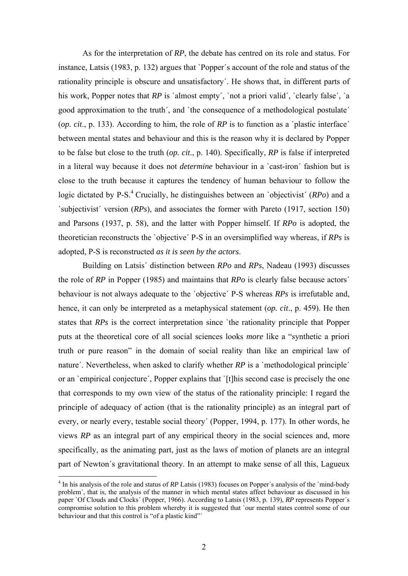As for the interpretation of *RP*, the debate has centred on its role and status. For instance, Latsis (1983, p. 132) argues that `Popper´s account of the role and status of the rationality principle is obscure and unsatisfactory´. He shows that, in different parts of his work, Popper notes that *RP* is 'almost empty', 'not a priori valid', 'clearly false', 'a good approximation to the truth´, and `the consequence of a methodological postulate´ (*op. cit*., p. 133). According to him, the role of *RP* is to function as a `plastic interface´ between mental states and behaviour and this is the reason why it is declared by Popper to be false but close to the truth (*op. cit*., p. 140). Specifically, *RP* is false if interpreted in a literal way because it does not *determine* behaviour in a `cast-iron´ fashion but is close to the truth because it captures the tendency of human behaviour to follow the logic dictated by P-S.<sup>4</sup> Crucially, he distinguishes between an `objectivist' ( $RPo$ ) and a `subjectivist´ version (*RPs*), and associates the former with Pareto (1917, section 150) and Parsons (1937, p. 58), and the latter with Popper himself. If *RPo* is adopted, the theoretician reconstructs the `objective´ P-S in an oversimplified way whereas, if *RPs* is adopted, P-S is reconstructed *as it is seen by the actors*.

Building on Latsis´ distinction between *RPo* and *RPs*, Nadeau (1993) discusses the role of *RP* in Popper (1985) and maintains that *RPo* is clearly false because actors´ behaviour is not always adequate to the `objective´ P-S whereas *RPs* is irrefutable and, hence, it can only be interpreted as a metaphysical statement (*op. cit*., p. 459). He then states that *RPs* is the correct interpretation since 'the rationality principle that Popper puts at the theoretical core of all social sciences looks *more* like a "synthetic a priori truth or pure reason" in the domain of social reality than like an empirical law of nature<sup>'</sup>. Nevertheless, when asked to clarify whether *RP* is a `methodological principle<sup>'</sup> or an `empirical conjecture´, Popper explains that `[t]his second case is precisely the one that corresponds to my own view of the status of the rationality principle: I regard the principle of adequacy of action (that is the rationality principle) as an integral part of every, or nearly every, testable social theory´ (Popper, 1994, p. 177). In other words, he views *RP* as an integral part of any empirical theory in the social sciences and, more specifically, as the animating part, just as the laws of motion of planets are an integral part of Newton´s gravitational theory. In an attempt to make sense of all this, Lagueux

<sup>&</sup>lt;sup>4</sup> In his analysis of the role and status of *RP* Latsis (1983) focuses on Popper's analysis of the `mind-body problem´, that is, the analysis of the manner in which mental states affect behaviour as discussed in his paper `Of Clouds and Clocks´ (Popper, 1966). According to Latsis (1983, p. 139), *RP* represents Popper´s compromise solution to this problem whereby it is suggested that `our mental states control some of our behaviour and that this control is "of a plastic kind"<sup>'</sup>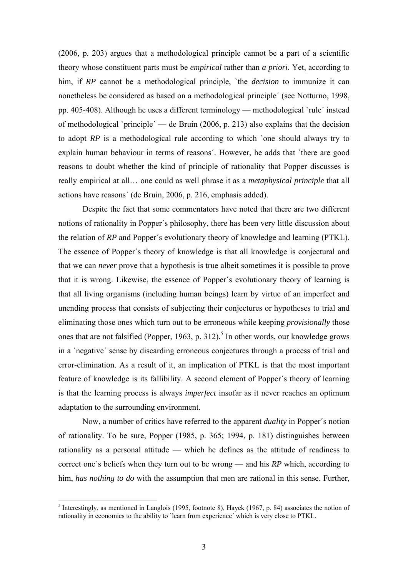(2006, p. 203) argues that a methodological principle cannot be a part of a scientific theory whose constituent parts must be *empirical* rather than *a priori*. Yet, according to him, if *RP* cannot be a methodological principle, `the *decision* to immunize it can nonetheless be considered as based on a methodological principle´ (see Notturno, 1998, pp. 405-408). Although he uses a different terminology — methodological `rule´ instead of methodological `principle´ — de Bruin (2006, p. 213) also explains that the decision to adopt *RP* is a methodological rule according to which `one should always try to explain human behaviour in terms of reasons´. However, he adds that `there are good reasons to doubt whether the kind of principle of rationality that Popper discusses is really empirical at all… one could as well phrase it as a *metaphysical principle* that all actions have reasons´ (de Bruin, 2006, p. 216, emphasis added).

 Despite the fact that some commentators have noted that there are two different notions of rationality in Popper´s philosophy, there has been very little discussion about the relation of *RP* and Popper´s evolutionary theory of knowledge and learning (PTKL). The essence of Popper´s theory of knowledge is that all knowledge is conjectural and that we can *never* prove that a hypothesis is true albeit sometimes it is possible to prove that it is wrong. Likewise, the essence of Popper´s evolutionary theory of learning is that all living organisms (including human beings) learn by virtue of an imperfect and unending process that consists of subjecting their conjectures or hypotheses to trial and eliminating those ones which turn out to be erroneous while keeping *provisionally* those ones that are not falsified (Popper, 1963, p. 312).<sup>5</sup> In other words, our knowledge grows in a `negative´ sense by discarding erroneous conjectures through a process of trial and error-elimination. As a result of it, an implication of PTKL is that the most important feature of knowledge is its fallibility. A second element of Popper´s theory of learning is that the learning process is always *imperfect* insofar as it never reaches an optimum adaptation to the surrounding environment.

Now, a number of critics have referred to the apparent *duality* in Popper´s notion of rationality. To be sure, Popper (1985, p. 365; 1994, p. 181) distinguishes between rationality as a personal attitude — which he defines as the attitude of readiness to correct one´s beliefs when they turn out to be wrong — and his *RP* which, according to him, *has nothing to do* with the assumption that men are rational in this sense. Further,

<sup>&</sup>lt;sup>5</sup> Interestingly, as mentioned in Langlois (1995, footnote 8), Hayek (1967, p. 84) associates the notion of rationality in economics to the ability to `learn from experience´ which is very close to PTKL.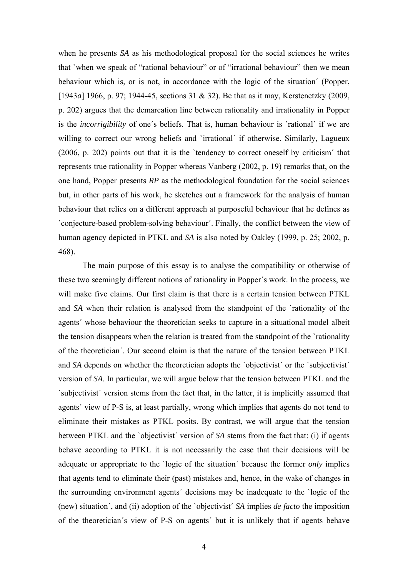when he presents *SA* as his methodological proposal for the social sciences he writes that `when we speak of "rational behaviour" or of "irrational behaviour" then we mean behaviour which is, or is not, in accordance with the logic of the situation´ (Popper, [1943*a*] 1966, p. 97; 1944-45, sections 31 & 32). Be that as it may, Kerstenetzky (2009, p. 202) argues that the demarcation line between rationality and irrationality in Popper is the *incorrigibility* of one´s beliefs. That is, human behaviour is `rational´ if we are willing to correct our wrong beliefs and 'irrational' if otherwise. Similarly, Lagueux (2006, p. 202) points out that it is the `tendency to correct oneself by criticism´ that represents true rationality in Popper whereas Vanberg (2002, p. 19) remarks that, on the one hand, Popper presents *RP* as the methodological foundation for the social sciences but, in other parts of his work, he sketches out a framework for the analysis of human behaviour that relies on a different approach at purposeful behaviour that he defines as `conjecture-based problem-solving behaviour´. Finally, the conflict between the view of human agency depicted in PTKL and *SA* is also noted by Oakley (1999, p. 25; 2002, p. 468).

 The main purpose of this essay is to analyse the compatibility or otherwise of these two seemingly different notions of rationality in Popper´s work. In the process, we will make five claims. Our first claim is that there is a certain tension between PTKL and *SA* when their relation is analysed from the standpoint of the `rationality of the agents´ whose behaviour the theoretician seeks to capture in a situational model albeit the tension disappears when the relation is treated from the standpoint of the `rationality of the theoretician´. Our second claim is that the nature of the tension between PTKL and *SA* depends on whether the theoretician adopts the `objectivist' or the `subjectivist' version of *SA*. In particular, we will argue below that the tension between PTKL and the `subjectivist´ version stems from the fact that, in the latter, it is implicitly assumed that agents´ view of P-S is, at least partially, wrong which implies that agents do not tend to eliminate their mistakes as PTKL posits. By contrast, we will argue that the tension between PTKL and the `objectivist´ version of *SA* stems from the fact that: (i) if agents behave according to PTKL it is not necessarily the case that their decisions will be adequate or appropriate to the `logic of the situation´ because the former *only* implies that agents tend to eliminate their (past) mistakes and, hence, in the wake of changes in the surrounding environment agents´ decisions may be inadequate to the `logic of the (new) situation´, and (ii) adoption of the `objectivist´ *SA* implies *de facto* the imposition of the theoretician´s view of P-S on agents´ but it is unlikely that if agents behave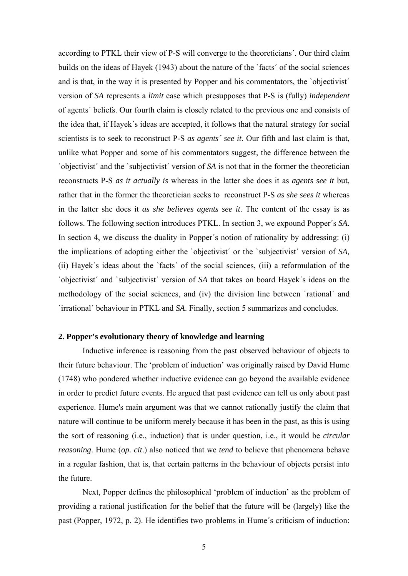according to PTKL their view of P-S will converge to the theoreticians´. Our third claim builds on the ideas of Hayek (1943) about the nature of the `facts´ of the social sciences and is that, in the way it is presented by Popper and his commentators, the `objectivist´ version of *SA* represents a *limit* case which presupposes that P-S is (fully) *independent*  of agents´ beliefs. Our fourth claim is closely related to the previous one and consists of the idea that, if Hayek´s ideas are accepted, it follows that the natural strategy for social scientists is to seek to reconstruct P-S *as agents´ see it*. Our fifth and last claim is that, unlike what Popper and some of his commentators suggest, the difference between the `objectivist´ and the `subjectivist´ version of *SA* is not that in the former the theoretician reconstructs P-S *as it actually is* whereas in the latter she does it as *agents see it* but, rather that in the former the theoretician seeks to reconstruct P-S *as she sees it* whereas in the latter she does it *as she believes agents see it*. The content of the essay is as follows. The following section introduces PTKL. In section 3, we expound Popper´s *SA*. In section 4, we discuss the duality in Popper´s notion of rationality by addressing: (i) the implications of adopting either the `objectivist´ or the `subjectivist´ version of *SA,*  (ii) Hayek´s ideas about the `facts´ of the social sciences, (iii) a reformulation of the `objectivist´ and `subjectivist´ version of *SA* that takes on board Hayek´s ideas on the methodology of the social sciences, and (iv) the division line between `rational´ and `irrational´ behaviour in PTKL and *SA*. Finally, section 5 summarizes and concludes.

### **2. Popper's evolutionary theory of knowledge and learning**

Inductive inference is reasoning from the past observed behaviour of objects to their future behaviour. The 'problem of induction' was originally raised by David Hume (1748) who pondered whether inductive evidence can go beyond the available evidence in order to predict future events. He argued that past evidence can tell us only about past experience. Hume's main argument was that we cannot rationally justify the claim that nature will continue to be uniform merely because it has been in the past, as this is using the sort of reasoning (i.e., induction) that is under question, i.e., it would be *circular reasoning*. Hume (*op. cit*.) also noticed that we *tend* to believe that phenomena behave in a regular fashion, that is, that certain patterns in the behaviour of objects persist into the future.

Next, Popper defines the philosophical 'problem of induction' as the problem of providing a rational justification for the belief that the future will be (largely) like the past (Popper, 1972, p. 2). He identifies two problems in Hume´s criticism of induction: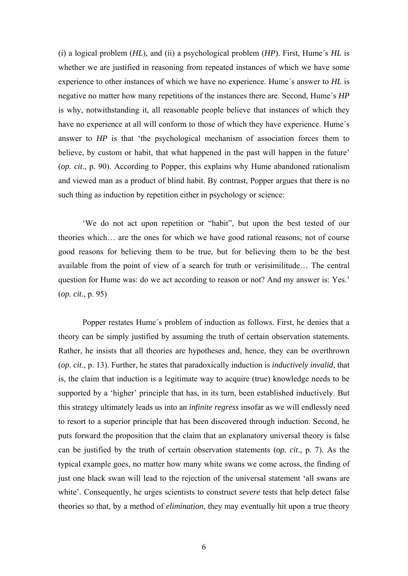(i) a logical problem (*HL*), and (ii) a psychological problem (*HP*). First, Hume´s *HL* is whether we are justified in reasoning from repeated instances of which we have some experience to other instances of which we have no experience. Hume´s answer to *HL* is negative no matter how many repetitions of the instances there are. Second, Hume´s *HP* is why, notwithstanding it, all reasonable people believe that instances of which they have no experience at all will conform to those of which they have experience. Hume´s answer to *HP* is that 'the psychological mechanism of association forces them to believe, by custom or habit, that what happened in the past will happen in the future' (*op. cit*., p. 90). According to Popper, this explains why Hume abandoned rationalism and viewed man as a product of blind habit. By contrast, Popper argues that there is no such thing as induction by repetition either in psychology or science:

'We do not act upon repetition or "habit", but upon the best tested of our theories which… are the ones for which we have good rational reasons; not of course good reasons for believing them to be true, but for believing them to be the best available from the point of view of a search for truth or verisimilitude… The central question for Hume was: do we act according to reason or not? And my answer is: Yes.' (*op. cit*., p. 95)

Popper restates Hume´s problem of induction as follows. First, he denies that a theory can be simply justified by assuming the truth of certain observation statements*.*  Rather, he insists that all theories are hypotheses and, hence, they can be overthrown (*op. cit*., p. 13). Further, he states that paradoxically induction is *inductively invalid*, that is, the claim that induction is a legitimate way to acquire (true) knowledge needs to be supported by a 'higher' principle that has, in its turn, been established inductively. But this strategy ultimately leads us into an *infinite regress* insofar as we will endlessly need to resort to a superior principle that has been discovered through induction. Second, he puts forward the proposition that the claim that an explanatory universal theory is false can be justified by the truth of certain observation statements (*op. cit*., p. 7). As the typical example goes, no matter how many white swans we come across, the finding of just one black swan will lead to the rejection of the universal statement 'all swans are white'. Consequently, he urges scientists to construct *severe* tests that help detect false theories so that, by a method of *elimination*, they may eventually hit upon a true theory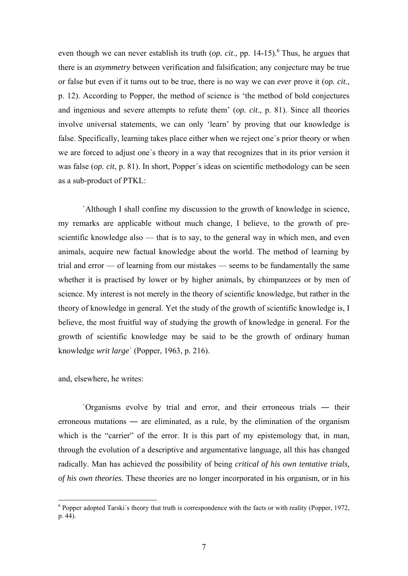even though we can never establish its truth  $(op. cit., pp. 14-15)$ .<sup>6</sup> Thus, he argues that there is an *asymmetry* between verification and falsification; any conjecture may be true or false but even if it turns out to be true, there is no way we can *ever* prove it (*op. cit*., p. 12). According to Popper, the method of science is 'the method of bold conjectures and ingenious and severe attempts to refute them' (*op. cit*., p. 81). Since all theories involve universal statements, we can only 'learn' by proving that our knowledge is false. Specifically, learning takes place either when we reject one´s prior theory or when we are forced to adjust one´s theory in a way that recognizes that in its prior version it was false (*op. cit*, p. 81). In short, Popper´s ideas on scientific methodology can be seen as a sub-product of PTKL:

`Although I shall confine my discussion to the growth of knowledge in science, my remarks are applicable without much change, I believe, to the growth of prescientific knowledge also — that is to say, to the general way in which men, and even animals, acquire new factual knowledge about the world. The method of learning by trial and error — of learning from our mistakes — seems to be fundamentally the same whether it is practised by lower or by higher animals, by chimpanzees or by men of science. My interest is not merely in the theory of scientific knowledge, but rather in the theory of knowledge in general. Yet the study of the growth of scientific knowledge is, I believe, the most fruitful way of studying the growth of knowledge in general. For the growth of scientific knowledge may be said to be the growth of ordinary human knowledge *writ large*´ (Popper, 1963, p. 216).

and, elsewhere, he writes:

`Organisms evolve by trial and error, and their erroneous trials ― their erroneous mutations ― are eliminated, as a rule, by the elimination of the organism which is the "carrier" of the error. It is this part of my epistemology that, in man, through the evolution of a descriptive and argumentative language, all this has changed radically. Man has achieved the possibility of being *critical of his own tentative trials, of his own theories*. These theories are no longer incorporated in his organism, or in his

The supermum of the superior of the superior of the facts of with reality (Popper, 1972,  $\frac{1}{2}$ ) p. 44).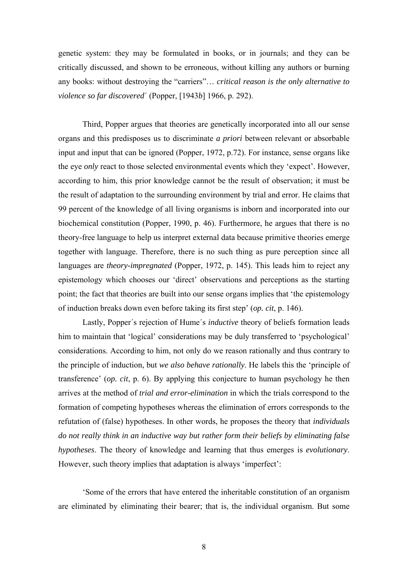genetic system: they may be formulated in books, or in journals; and they can be critically discussed, and shown to be erroneous, without killing any authors or burning any books: without destroying the "carriers"… *critical reason is the only alternative to violence so far discovered*´ (Popper, [1943*b*] 1966, p. 292).

Third, Popper argues that theories are genetically incorporated into all our sense organs and this predisposes us to discriminate *a priori* between relevant or absorbable input and input that can be ignored (Popper, 1972, p.72). For instance, sense organs like the eye *only* react to those selected environmental events which they 'expect'. However, according to him, this prior knowledge cannot be the result of observation; it must be the result of adaptation to the surrounding environment by trial and error. He claims that 99 percent of the knowledge of all living organisms is inborn and incorporated into our biochemical constitution (Popper, 1990, p. 46). Furthermore, he argues that there is no theory-free language to help us interpret external data because primitive theories emerge together with language. Therefore, there is no such thing as pure perception since all languages are *theory-impregnated* (Popper, 1972, p. 145). This leads him to reject any epistemology which chooses our 'direct' observations and perceptions as the starting point; the fact that theories are built into our sense organs implies that 'the epistemology of induction breaks down even before taking its first step' (*op. cit*, p. 146).

Lastly, Popper´s rejection of Hume´s *inductive* theory of beliefs formation leads him to maintain that 'logical' considerations may be duly transferred to 'psychological' considerations. According to him, not only do we reason rationally and thus contrary to the principle of induction, but *we also behave rationally*. He labels this the 'principle of transference' (*op. cit*, p. 6). By applying this conjecture to human psychology he then arrives at the method of *trial and error-elimination* in which the trials correspond to the formation of competing hypotheses whereas the elimination of errors corresponds to the refutation of (false) hypotheses. In other words, he proposes the theory that *individuals do not really think in an inductive way but rather form their beliefs by eliminating false hypotheses*. The theory of knowledge and learning that thus emerges is *evolutionary*. However, such theory implies that adaptation is always 'imperfect':

'Some of the errors that have entered the inheritable constitution of an organism are eliminated by eliminating their bearer; that is, the individual organism. But some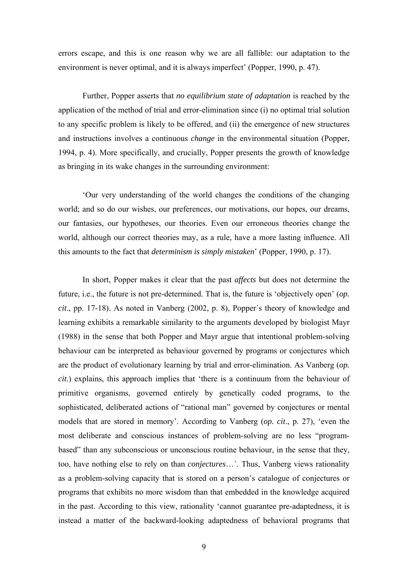errors escape, and this is one reason why we are all fallible: our adaptation to the environment is never optimal, and it is always imperfect' (Popper, 1990, p. 47).

Further, Popper asserts that *no equilibrium state of adaptation* is reached by the application of the method of trial and error-elimination since (i) no optimal trial solution to any specific problem is likely to be offered, and (ii) the emergence of new structures and instructions involves a continuous *change* in the environmental situation (Popper, 1994, p. 4). More specifically, and crucially, Popper presents the growth of knowledge as bringing in its wake changes in the surrounding environment:

'Our very understanding of the world changes the conditions of the changing world; and so do our wishes, our preferences, our motivations, our hopes, our dreams, our fantasies, our hypotheses, our theories. Even our erroneous theories change the world, although our correct theories may, as a rule, have a more lasting influence. All this amounts to the fact that *determinism is simply mistaken*' (Popper, 1990, p. 17).

In short, Popper makes it clear that the past *affects* but does not determine the future, i.e., the future is not pre-determined. That is, the future is 'objectively open' (*op. cit*., pp. 17-18). As noted in Vanberg (2002, p. 8), Popper´s theory of knowledge and learning exhibits a remarkable similarity to the arguments developed by biologist Mayr (1988) in the sense that both Popper and Mayr argue that intentional problem-solving behaviour can be interpreted as behaviour governed by programs or conjectures which are the product of evolutionary learning by trial and error-elimination. As Vanberg (*op. cit*.) explains, this approach implies that 'there is a continuum from the behaviour of primitive organisms, governed entirely by genetically coded programs, to the sophisticated, deliberated actions of "rational man" governed by conjectures or mental models that are stored in memory'. According to Vanberg (*op. cit*., p. 27), 'even the most deliberate and conscious instances of problem-solving are no less "programbased" than any subconscious or unconscious routine behaviour, in the sense that they, too, have nothing else to rely on than *conjectures*…´. Thus, Vanberg views rationality as a problem-solving capacity that is stored on a person's catalogue of conjectures or programs that exhibits no more wisdom than that embedded in the knowledge acquired in the past. According to this view, rationality 'cannot guarantee pre-adaptedness, it is instead a matter of the backward-looking adaptedness of behavioral programs that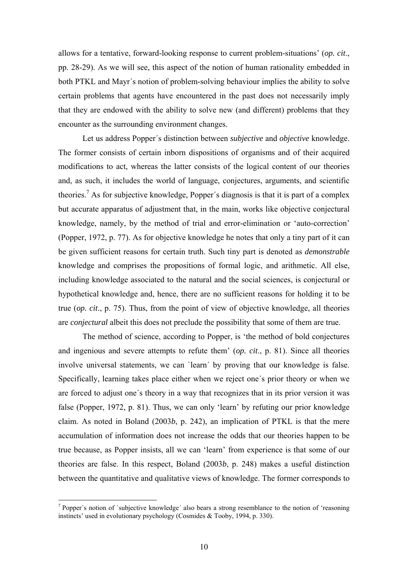allows for a tentative, forward-looking response to current problem-situations' (*op. cit*., pp. 28-29). As we will see, this aspect of the notion of human rationality embedded in both PTKL and Mayr´s notion of problem-solving behaviour implies the ability to solve certain problems that agents have encountered in the past does not necessarily imply that they are endowed with the ability to solve new (and different) problems that they encounter as the surrounding environment changes.

Let us address Popper´s distinction between *subjective* and *objective* knowledge. The former consists of certain inborn dispositions of organisms and of their acquired modifications to act, whereas the latter consists of the logical content of our theories and, as such, it includes the world of language, conjectures, arguments, and scientific theories.<sup>7</sup> As for subjective knowledge, Popper's diagnosis is that it is part of a complex but accurate apparatus of adjustment that, in the main, works like objective conjectural knowledge, namely, by the method of trial and error-elimination or 'auto-correction' (Popper, 1972, p. 77). As for objective knowledge he notes that only a tiny part of it can be given sufficient reasons for certain truth. Such tiny part is denoted as *demonstrable* knowledge and comprises the propositions of formal logic, and arithmetic. All else, including knowledge associated to the natural and the social sciences, is conjectural or hypothetical knowledge and, hence, there are no sufficient reasons for holding it to be true (*op. cit*., p. 75). Thus, from the point of view of objective knowledge, all theories are *conjectural* albeit this does not preclude the possibility that some of them are true.

The method of science, according to Popper, is 'the method of bold conjectures and ingenious and severe attempts to refute them' (*op. cit*., p. 81). Since all theories involve universal statements, we can `learn´ by proving that our knowledge is false. Specifically, learning takes place either when we reject one´s prior theory or when we are forced to adjust one´s theory in a way that recognizes that in its prior version it was false (Popper, 1972, p. 81). Thus, we can only 'learn' by refuting our prior knowledge claim. As noted in Boland (2003*b*, p. 242), an implication of PTKL is that the mere accumulation of information does not increase the odds that our theories happen to be true because, as Popper insists, all we can 'learn' from experience is that some of our theories are false. In this respect, Boland (2003*b*, p. 248) makes a useful distinction between the quantitative and qualitative views of knowledge. The former corresponds to

<sup>&</sup>lt;sup>7</sup> Popper's notion of `subjective knowledge' also bears a strong resemblance to the notion of 'reasoning instincts' used in evolutionary psychology (Cosmides & Tooby, 1994, p. 330).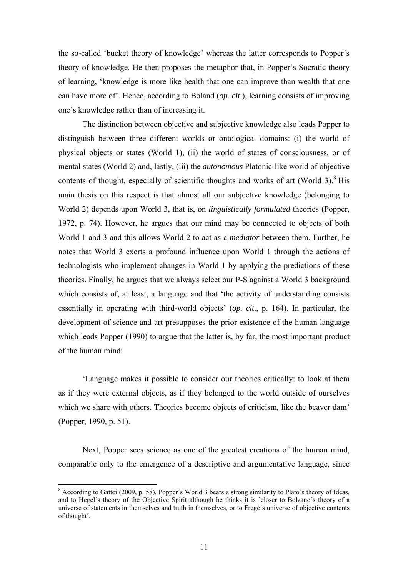the so-called 'bucket theory of knowledge' whereas the latter corresponds to Popper´s theory of knowledge. He then proposes the metaphor that, in Popper´s Socratic theory of learning, 'knowledge is more like health that one can improve than wealth that one can have more of'. Hence, according to Boland (*op. cit*.), learning consists of improving one´s knowledge rather than of increasing it.

The distinction between objective and subjective knowledge also leads Popper to distinguish between three different worlds or ontological domains: (i) the world of physical objects or states (World 1), (ii) the world of states of consciousness, or of mental states (World 2) and, lastly, (iii) the *autonomous* Platonic-like world of objective contents of thought, especially of scientific thoughts and works of art (World  $3$ ).<sup>8</sup> His main thesis on this respect is that almost all our subjective knowledge (belonging to World 2) depends upon World 3, that is, on *linguistically formulated* theories (Popper, 1972, p. 74). However, he argues that our mind may be connected to objects of both World 1 and 3 and this allows World 2 to act as a *mediator* between them. Further, he notes that World 3 exerts a profound influence upon World 1 through the actions of technologists who implement changes in World 1 by applying the predictions of these theories. Finally, he argues that we always select our P-S against a World 3 background which consists of, at least, a language and that 'the activity of understanding consists essentially in operating with third-world objects' (*op. cit*., p. 164). In particular, the development of science and art presupposes the prior existence of the human language which leads Popper (1990) to argue that the latter is, by far, the most important product of the human mind:

'Language makes it possible to consider our theories critically: to look at them as if they were external objects, as if they belonged to the world outside of ourselves which we share with others. Theories become objects of criticism, like the beaver dam' (Popper, 1990, p. 51).

Next, Popper sees science as one of the greatest creations of the human mind, comparable only to the emergence of a descriptive and argumentative language, since

<sup>&</sup>lt;sup>8</sup> According to Gattei (2009, p. 58), Popper's World 3 bears a strong similarity to Plato's theory of Ideas, and to Hegel´s theory of the Objective Spirit although he thinks it is `closer to Bolzano´s theory of a universe of statements in themselves and truth in themselves, or to Frege´s universe of objective contents of thought´.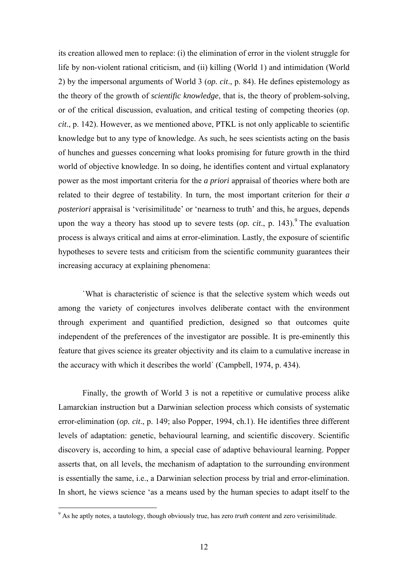its creation allowed men to replace: (i) the elimination of error in the violent struggle for life by non-violent rational criticism, and (ii) killing (World 1) and intimidation (World 2) by the impersonal arguments of World 3 (*op. cit*., p. 84). He defines epistemology as the theory of the growth of *scientific knowledge*, that is, the theory of problem-solving, or of the critical discussion, evaluation, and critical testing of competing theories (*op. cit*., p. 142). However, as we mentioned above, PTKL is not only applicable to scientific knowledge but to any type of knowledge. As such, he sees scientists acting on the basis of hunches and guesses concerning what looks promising for future growth in the third world of objective knowledge. In so doing, he identifies content and virtual explanatory power as the most important criteria for the *a priori* appraisal of theories where both are related to their degree of testability. In turn, the most important criterion for their *a posteriori* appraisal is 'verisimilitude' or 'nearness to truth' and this, he argues, depends upon the way a theory has stood up to severe tests  $(op. cit., p. 143).$ <sup>9</sup> The evaluation process is always critical and aims at error-elimination. Lastly, the exposure of scientific hypotheses to severe tests and criticism from the scientific community guarantees their increasing accuracy at explaining phenomena:

`What is characteristic of science is that the selective system which weeds out among the variety of conjectures involves deliberate contact with the environment through experiment and quantified prediction, designed so that outcomes quite independent of the preferences of the investigator are possible. It is pre-eminently this feature that gives science its greater objectivity and its claim to a cumulative increase in the accuracy with which it describes the world´ (Campbell, 1974, p. 434).

Finally, the growth of World 3 is not a repetitive or cumulative process alike Lamarckian instruction but a Darwinian selection process which consists of systematic error-elimination (*op. cit*., p. 149; also Popper, 1994, ch.1). He identifies three different levels of adaptation: genetic, behavioural learning, and scientific discovery. Scientific discovery is, according to him, a special case of adaptive behavioural learning. Popper asserts that, on all levels, the mechanism of adaptation to the surrounding environment is essentially the same, i.e., a Darwinian selection process by trial and error-elimination. In short, he views science 'as a means used by the human species to adapt itself to the

<sup>9</sup> As he aptly notes, a tautology, though obviously true, has zero *truth content* and zero verisimilitude.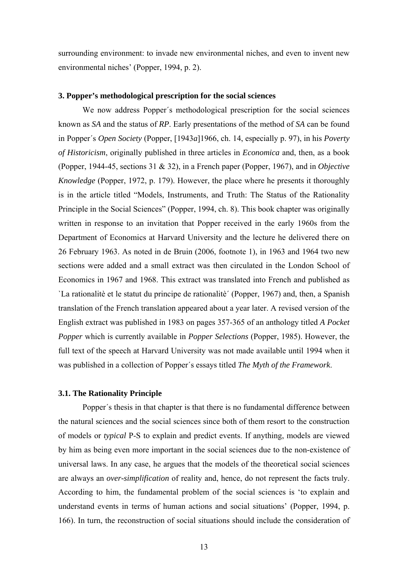surrounding environment: to invade new environmental niches, and even to invent new environmental niches' (Popper, 1994, p. 2).

### **3. Popper's methodological prescription for the social sciences**

We now address Popper´s methodological prescription for the social sciences known as *SA* and the status of *RP*. Early presentations of the method of *SA* can be found in Popper´s *Open Society* (Popper, [1943*a*]1966, ch. 14, especially p. 97), in his *Poverty of Historicism*, originally published in three articles in *Economica* and, then, as a book (Popper, 1944-45, sections 31 & 32), in a French paper (Popper, 1967), and in *Objective Knowledge* (Popper, 1972, p. 179). However, the place where he presents it thoroughly is in the article titled "Models, Instruments, and Truth: The Status of the Rationality Principle in the Social Sciences" (Popper, 1994, ch. 8). This book chapter was originally written in response to an invitation that Popper received in the early 1960s from the Department of Economics at Harvard University and the lecture he delivered there on 26 February 1963. As noted in de Bruin (2006, footnote 1), in 1963 and 1964 two new sections were added and a small extract was then circulated in the London School of Economics in 1967 and 1968. This extract was translated into French and published as `La rationalitè et le statut du principe de rationalitè´ (Popper, 1967) and, then, a Spanish translation of the French translation appeared about a year later. A revised version of the English extract was published in 1983 on pages 357-365 of an anthology titled *A Pocket Popper* which is currently available in *Popper Selections* (Popper, 1985). However, the full text of the speech at Harvard University was not made available until 1994 when it was published in a collection of Popper´s essays titled *The Myth of the Framework*.

### **3.1. The Rationality Principle**

Popper´s thesis in that chapter is that there is no fundamental difference between the natural sciences and the social sciences since both of them resort to the construction of models or *typical* P-S to explain and predict events. If anything, models are viewed by him as being even more important in the social sciences due to the non-existence of universal laws. In any case, he argues that the models of the theoretical social sciences are always an *over-simplification* of reality and, hence, do not represent the facts truly. According to him, the fundamental problem of the social sciences is 'to explain and understand events in terms of human actions and social situations' (Popper, 1994, p. 166). In turn, the reconstruction of social situations should include the consideration of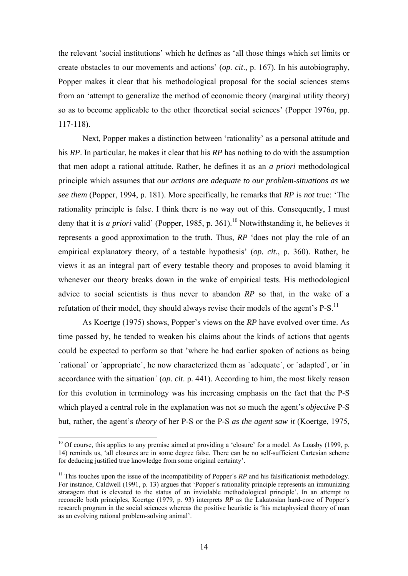the relevant 'social institutions' which he defines as 'all those things which set limits or create obstacles to our movements and actions' (*op. cit*., p. 167). In his autobiography, Popper makes it clear that his methodological proposal for the social sciences stems from an 'attempt to generalize the method of economic theory (marginal utility theory) so as to become applicable to the other theoretical social sciences' (Popper 1976*a*, pp. 117-118).

Next, Popper makes a distinction between 'rationality' as a personal attitude and his *RP*. In particular, he makes it clear that his *RP* has nothing to do with the assumption that men adopt a rational attitude. Rather, he defines it as an *a priori* methodological principle which assumes that *our actions are adequate to our problem-situations as we see them* (Popper, 1994, p. 181). More specifically, he remarks that *RP* is *not* true: 'The rationality principle is false. I think there is no way out of this. Consequently, I must deny that it is *a priori* valid' (Popper, 1985, p. 361).<sup>10</sup> Notwithstanding it, he believes it represents a good approximation to the truth. Thus, *RP* 'does not play the role of an empirical explanatory theory, of a testable hypothesis' (*op. cit*., p. 360). Rather, he views it as an integral part of every testable theory and proposes to avoid blaming it whenever our theory breaks down in the wake of empirical tests. His methodological advice to social scientists is thus never to abandon *RP* so that, in the wake of a refutation of their model, they should always revise their models of the agent's  $P-S$ .<sup>11</sup>

As Koertge (1975) shows, Popper's views on the *RP* have evolved over time. As time passed by, he tended to weaken his claims about the kinds of actions that agents could be expected to perform so that 'where he had earlier spoken of actions as being `rational' or `appropriate', he now characterized them as `adequate', or `adapted', or `in accordance with the situation´ (*op. cit*. p. 441). According to him, the most likely reason for this evolution in terminology was his increasing emphasis on the fact that the P-S which played a central role in the explanation was not so much the agent's *objective* P-S but, rather, the agent's *theory* of her P-S or the P-S *as the agent saw it* (Koertge, 1975,

 $10$  Of course, this applies to any premise aimed at providing a 'closure' for a model. As Loasby (1999, p. 14) reminds us, 'all closures are in some degree false. There can be no self-sufficient Cartesian scheme for deducing justified true knowledge from some original certainty'.

<sup>&</sup>lt;sup>11</sup> This touches upon the issue of the incompatibility of Popper's  $RP$  and his falsificationist methodology. For instance, Caldwell (1991, p. 13) argues that 'Popper´s rationality principle represents an immunizing stratagem that is elevated to the status of an inviolable methodological principle'. In an attempt to reconcile both principles, Koertge (1979, p. 93) interprets *RP* as the Lakatosian hard-core of Popper´s research program in the social sciences whereas the positive heuristic is 'his metaphysical theory of man as an evolving rational problem-solving animal'.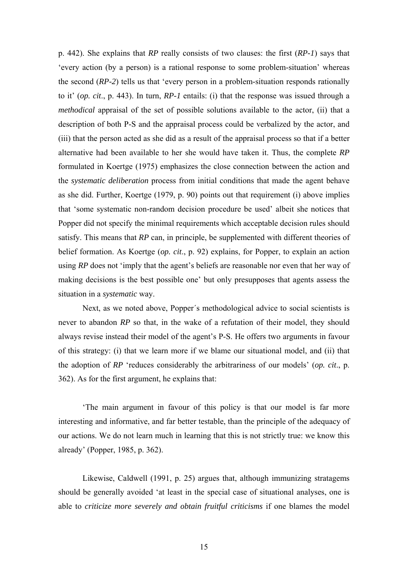p. 442). She explains that *RP* really consists of two clauses: the first (*RP-1*) says that 'every action (by a person) is a rational response to some problem-situation' whereas the second (*RP-2*) tells us that 'every person in a problem-situation responds rationally to it' (*op. cit*., p. 443). In turn, *RP-1* entails: (i) that the response was issued through a *methodical* appraisal of the set of possible solutions available to the actor, (ii) that a description of both P-S and the appraisal process could be verbalized by the actor, and (iii) that the person acted as she did as a result of the appraisal process so that if a better alternative had been available to her she would have taken it. Thus, the complete *RP* formulated in Koertge (1975) emphasizes the close connection between the action and the *systematic deliberation* process from initial conditions that made the agent behave as she did. Further, Koertge (1979, p. 90) points out that requirement (i) above implies that 'some systematic non-random decision procedure be used' albeit she notices that Popper did not specify the minimal requirements which acceptable decision rules should satisfy. This means that *RP* can, in principle, be supplemented with different theories of belief formation. As Koertge (*op. cit*., p. 92) explains, for Popper, to explain an action using *RP* does not 'imply that the agent's beliefs are reasonable nor even that her way of making decisions is the best possible one' but only presupposes that agents assess the situation in a *systematic* way.

Next, as we noted above, Popper´s methodological advice to social scientists is never to abandon *RP* so that, in the wake of a refutation of their model, they should always revise instead their model of the agent's P-S. He offers two arguments in favour of this strategy: (i) that we learn more if we blame our situational model, and (ii) that the adoption of *RP* 'reduces considerably the arbitrariness of our models' (*op. cit*., p. 362). As for the first argument, he explains that:

'The main argument in favour of this policy is that our model is far more interesting and informative, and far better testable, than the principle of the adequacy of our actions. We do not learn much in learning that this is not strictly true: we know this already' (Popper, 1985, p. 362).

Likewise, Caldwell (1991, p. 25) argues that, although immunizing stratagems should be generally avoided 'at least in the special case of situational analyses, one is able to *criticize more severely and obtain fruitful criticisms* if one blames the model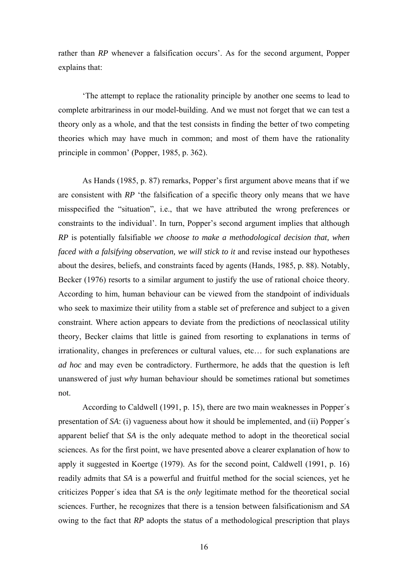rather than *RP* whenever a falsification occurs'. As for the second argument, Popper explains that:

'The attempt to replace the rationality principle by another one seems to lead to complete arbitrariness in our model-building. And we must not forget that we can test a theory only as a whole, and that the test consists in finding the better of two competing theories which may have much in common; and most of them have the rationality principle in common' (Popper, 1985, p. 362).

As Hands (1985, p. 87) remarks, Popper's first argument above means that if we are consistent with *RP* 'the falsification of a specific theory only means that we have misspecified the "situation", i.e., that we have attributed the wrong preferences or constraints to the individual'. In turn, Popper's second argument implies that although *RP* is potentially falsifiable *we choose to make a methodological decision that, when faced with a falsifying observation, we will stick to it and revise instead our hypotheses* about the desires, beliefs, and constraints faced by agents (Hands, 1985, p. 88). Notably, Becker (1976) resorts to a similar argument to justify the use of rational choice theory. According to him, human behaviour can be viewed from the standpoint of individuals who seek to maximize their utility from a stable set of preference and subject to a given constraint. Where action appears to deviate from the predictions of neoclassical utility theory, Becker claims that little is gained from resorting to explanations in terms of irrationality, changes in preferences or cultural values, etc… for such explanations are *ad hoc* and may even be contradictory. Furthermore, he adds that the question is left unanswered of just *why* human behaviour should be sometimes rational but sometimes not.

According to Caldwell (1991, p. 15), there are two main weaknesses in Popper´s presentation of *SA*: (i) vagueness about how it should be implemented, and (ii) Popper´s apparent belief that *SA* is the only adequate method to adopt in the theoretical social sciences. As for the first point, we have presented above a clearer explanation of how to apply it suggested in Koertge (1979). As for the second point, Caldwell (1991, p. 16) readily admits that *SA* is a powerful and fruitful method for the social sciences, yet he criticizes Popper´s idea that *SA* is the *only* legitimate method for the theoretical social sciences. Further, he recognizes that there is a tension between falsificationism and *SA* owing to the fact that *RP* adopts the status of a methodological prescription that plays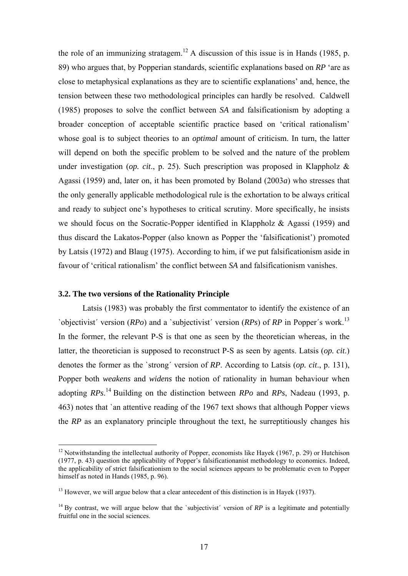the role of an immunizing stratagem.<sup>12</sup> A discussion of this issue is in Hands (1985, p. 89) who argues that, by Popperian standards, scientific explanations based on *RP* 'are as close to metaphysical explanations as they are to scientific explanations' and, hence, the tension between these two methodological principles can hardly be resolved. Caldwell (1985) proposes to solve the conflict between *SA* and falsificationism by adopting a broader conception of acceptable scientific practice based on 'critical rationalism' whose goal is to subject theories to an *optimal* amount of criticism. In turn, the latter will depend on both the specific problem to be solved and the nature of the problem under investigation (*op. cit*., p. 25). Such prescription was proposed in Klappholz & Agassi (1959) and, later on, it has been promoted by Boland (2003*a*) who stresses that the only generally applicable methodological rule is the exhortation to be always critical and ready to subject one's hypotheses to critical scrutiny. More specifically, he insists we should focus on the Socratic-Popper identified in Klappholz & Agassi (1959) and thus discard the Lakatos-Popper (also known as Popper the 'falsificationist') promoted by Latsis (1972) and Blaug (1975). According to him, if we put falsificationism aside in favour of 'critical rationalism' the conflict between *SA* and falsificationism vanishes.

### **3.2. The two versions of the Rationality Principle**

1

Latsis (1983) was probably the first commentator to identify the existence of an `objectivist´ version (*RPo*) and a `subjectivist´ version (*RPs*) of *RP* in Popper´s work.<sup>13</sup> In the former, the relevant P-S is that one as seen by the theoretician whereas, in the latter, the theoretician is supposed to reconstruct P-S as seen by agents. Latsis (*op. cit*.) denotes the former as the `strong´ version of *RP*. According to Latsis (*op. cit*., p. 131), Popper both *weakens* and *widens* the notion of rationality in human behaviour when adopting *RPs*. 14 Building on the distinction between *RPo* and *RPs*, Nadeau (1993, p. 463) notes that `an attentive reading of the 1967 text shows that although Popper views the *RP* as an explanatory principle throughout the text, he surreptitiously changes his

<sup>&</sup>lt;sup>12</sup> Notwithstanding the intellectual authority of Popper, economists like Hayek (1967, p. 29) or Hutchison (1977, p. 43) question the applicability of Popper's falsificationanist methodology to economics. Indeed, the applicability of strict falsificationism to the social sciences appears to be problematic even to Popper himself as noted in Hands (1985, p. 96).

 $13$  However, we will argue below that a clear antecedent of this distinction is in Hayek (1937).

<sup>&</sup>lt;sup>14</sup> By contrast, we will argue below that the 'subjectivist' version of  $RP$  is a legitimate and potentially fruitful one in the social sciences.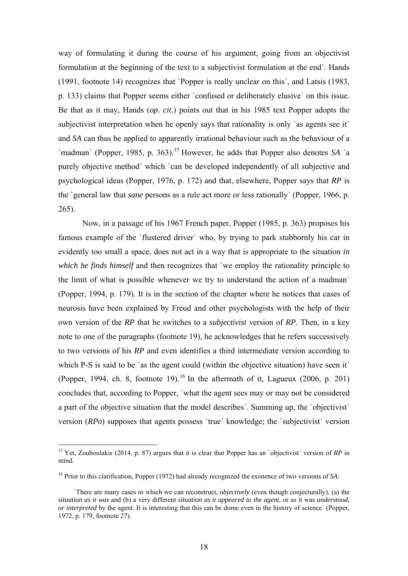way of formulating it during the course of his argument, going from an objectivist formulation at the beginning of the text to a subjectivist formulation at the end´. Hands (1991, footnote 14) recognizes that `Popper is really unclear on this´, and Latsis (1983, p. 133) claims that Popper seems either `confused or deliberately elusive´ on this issue. Be that as it may, Hands (*op. cit*.) points out that in his 1985 text Popper adopts the subjectivist interpretation when he openly says that rationality is only 'as agents see it' and *SA* can thus be applied to apparently irrational behaviour such as the behaviour of a `madman´ (Popper, 1985, p. 363).15 However, he adds that Popper also denotes *SA* `a purely objective method´ which `can be developed independently of all subjective and psychological ideas (Popper, 1976, p. 172) and that, elsewhere, Popper says that *RP* is the `general law that *sane* persons as a rule act more or less rationally´ (Popper, 1966, p. 265).

Now, in a passage of his 1967 French paper, Popper (1985, p. 363) proposes his famous example of the `flustered driver´ who, by trying to park stubbornly his car in evidently too small a space, does not act in a way that is appropriate to the situation *in which he finds himself* and then recognizes that `we employ the rationality principle to the limit of what is possible whenever we try to understand the action of a madman´ (Popper, 1994, p. 179). It is in the section of the chapter where he notices that cases of neurosis have been explained by Freud and other psychologists with the help of their own version of the *RP* that he switches to a *subjectivist* version of *RP*. Then, in a key note to one of the paragraphs (footnote 19), he acknowledges that he refers successively to two versions of his *RP* and even identifies a third intermediate version according to which P-S is said to be 'as the agent could (within the objective situation) have seen it' (Popper, 1994, ch. 8, footnote 19).<sup>16</sup> In the aftermath of it, Lagueux (2006, p. 201) concludes that, according to Popper, `what the agent sees may or may not be considered a part of the objective situation that the model describes´. Summing up, the `objectivist´ version (*RPo*) supposes that agents possess `true´ knowledge; the `subjectivist´ version

<sup>&</sup>lt;sup>15</sup> Yet, Zouboulakis (2014, p. 87) argues that it is clear that Popper has an `objectivist´ version of *RP* in mind.

<sup>16</sup> Prior to this clarification, Popper (1972) had already recognized the existence of two versions of *SA*:

 <sup>`</sup>There are many cases in which we can reconstruct, *objectively* (even though conjecturally), (a) the *situation as it was* and (b) a very different *situation as it appeared to the agent,* or as it was *understood*, *or interpreted* by the agent. It is interesting that this can be dome even in the history of science´ (Popper, 1972, p. 179, footnote 27).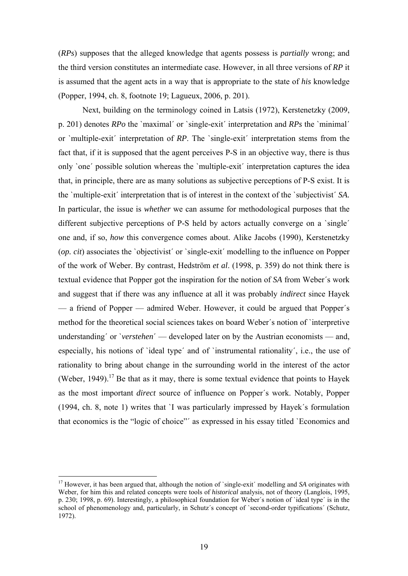(*RPs*) supposes that the alleged knowledge that agents possess is *partially* wrong; and the third version constitutes an intermediate case. However, in all three versions of *RP* it is assumed that the agent acts in a way that is appropriate to the state of *his* knowledge (Popper, 1994, ch. 8, footnote 19; Lagueux, 2006, p. 201).

Next, building on the terminology coined in Latsis (1972), Kerstenetzky (2009, p. 201) denotes *RPo* the `maximal´ or `single-exit´ interpretation and *RPs* the `minimal´ or `multiple-exit´ interpretation of *RP*. The `single-exit´ interpretation stems from the fact that, if it is supposed that the agent perceives P-S in an objective way, there is thus only `one´ possible solution whereas the `multiple-exit´ interpretation captures the idea that, in principle, there are as many solutions as subjective perceptions of P-S exist. It is the `multiple-exit´ interpretation that is of interest in the context of the `subjectivist´ *SA.*  In particular, the issue is *whether* we can assume for methodological purposes that the different subjective perceptions of P-S held by actors actually converge on a 'single' one and, if so, *how* this convergence comes about. Alike Jacobs (1990), Kerstenetzky (*op. cit*) associates the `objectivist´ or `single-exit´ modelling to the influence on Popper of the work of Weber. By contrast, Hedström *et al*. (1998, p. 359) do not think there is textual evidence that Popper got the inspiration for the notion of *SA* from Weber´s work and suggest that if there was any influence at all it was probably *indirect* since Hayek — a friend of Popper — admired Weber. However, it could be argued that Popper´s method for the theoretical social sciences takes on board Weber´s notion of `interpretive understanding´ or `*verstehen*´ — developed later on by the Austrian economists — and, especially, his notions of `ideal type´ and of `instrumental rationality´, i.e., the use of rationality to bring about change in the surrounding world in the interest of the actor (Weber, 1949).<sup>17</sup> Be that as it may, there is some textual evidence that points to Hayek as the most important *direct* source of influence on Popper´s work. Notably, Popper (1994, ch. 8, note 1) writes that `I was particularly impressed by Hayek´s formulation that economics is the "logic of choice"´ as expressed in his essay titled `Economics and

<sup>&</sup>lt;sup>17</sup> However, it has been argued that, although the notion of `single-exit´ modelling and *SA* originates with Weber, for him this and related concepts were tools of *historical* analysis, not of theory (Langlois, 1995, p. 230; 1998, p. 69). Interestingly, a philosophical foundation for Weber´s notion of `ideal type´ is in the school of phenomenology and, particularly, in Schutz's concept of 'second-order typifications' (Schutz, 1972).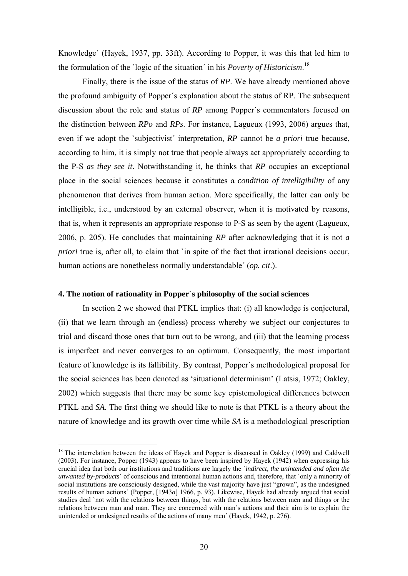Knowledge´ (Hayek, 1937, pp. 33ff). According to Popper, it was this that led him to the formulation of the `logic of the situation´ in his *Poverty of Historicism*. 18

Finally, there is the issue of the status of *RP*. We have already mentioned above the profound ambiguity of Popper´s explanation about the status of RP. The subsequent discussion about the role and status of *RP* among Popper´s commentators focused on the distinction between *RPo* and *RPs*. For instance, Lagueux (1993, 2006) argues that, even if we adopt the `subjectivist´ interpretation, *RP* cannot be *a priori* true because, according to him, it is simply not true that people always act appropriately according to the P-S *as they see it*. Notwithstanding it, he thinks that *RP* occupies an exceptional place in the social sciences because it constitutes a *condition of intelligibility* of any phenomenon that derives from human action. More specifically, the latter can only be intelligible, i.e., understood by an external observer, when it is motivated by reasons, that is, when it represents an appropriate response to P-S as seen by the agent (Lagueux, 2006, p. 205). He concludes that maintaining *RP* after acknowledging that it is not *a priori* true is, after all, to claim that 'in spite of the fact that irrational decisions occur, human actions are nonetheless normally understandable´ (*op. cit*.).

# **4. The notion of rationality in Popper´s philosophy of the social sciences**

In section 2 we showed that PTKL implies that: (i) all knowledge is conjectural, (ii) that we learn through an (endless) process whereby we subject our conjectures to trial and discard those ones that turn out to be wrong, and (iii) that the learning process is imperfect and never converges to an optimum. Consequently, the most important feature of knowledge is its fallibility. By contrast, Popper´s methodological proposal for the social sciences has been denoted as 'situational determinism' (Latsis, 1972; Oakley, 2002) which suggests that there may be some key epistemological differences between PTKL and *SA*. The first thing we should like to note is that PTKL is a theory about the nature of knowledge and its growth over time while *SA* is a methodological prescription

<sup>&</sup>lt;sup>18</sup> The interrelation between the ideas of Hayek and Popper is discussed in Oakley (1999) and Caldwell (2003). For instance, Popper (1943) appears to have been inspired by Hayek (1942) when expressing his crucial idea that both our institutions and traditions are largely the `*indirect, the unintended and often the unwanted by-product*s´ of conscious and intentional human actions and, therefore, that `only a minority of social institutions are consciously designed, while the vast majority have just "grown", as the undesigned results of human actions´ (Popper, [1943*a*] 1966, p. 93). Likewise, Hayek had already argued that social studies deal `not with the relations between things, but with the relations between men and things or the relations between man and man. They are concerned with man´s actions and their aim is to explain the unintended or undesigned results of the actions of many men´ (Hayek, 1942, p. 276).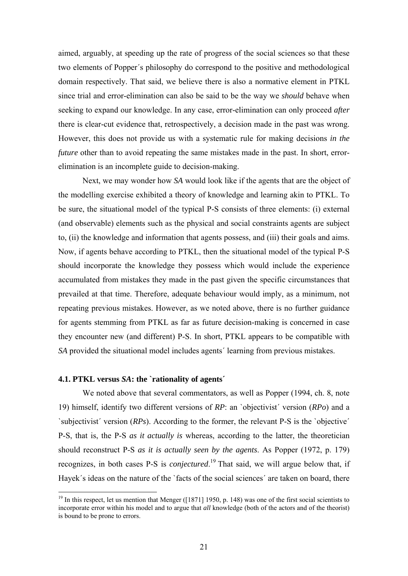aimed, arguably, at speeding up the rate of progress of the social sciences so that these two elements of Popper´s philosophy do correspond to the positive and methodological domain respectively. That said, we believe there is also a normative element in PTKL since trial and error-elimination can also be said to be the way we *should* behave when seeking to expand our knowledge. In any case, error-elimination can only proceed *after* there is clear-cut evidence that, retrospectively, a decision made in the past was wrong. However, this does not provide us with a systematic rule for making decisions *in the future* other than to avoid repeating the same mistakes made in the past. In short, errorelimination is an incomplete guide to decision-making.

Next, we may wonder how *SA* would look like if the agents that are the object of the modelling exercise exhibited a theory of knowledge and learning akin to PTKL. To be sure, the situational model of the typical P-S consists of three elements: (i) external (and observable) elements such as the physical and social constraints agents are subject to, (ii) the knowledge and information that agents possess, and (iii) their goals and aims. Now, if agents behave according to PTKL, then the situational model of the typical P-S should incorporate the knowledge they possess which would include the experience accumulated from mistakes they made in the past given the specific circumstances that prevailed at that time. Therefore, adequate behaviour would imply, as a minimum, not repeating previous mistakes. However, as we noted above, there is no further guidance for agents stemming from PTKL as far as future decision-making is concerned in case they encounter new (and different) P-S. In short, PTKL appears to be compatible with *SA* provided the situational model includes agents´ learning from previous mistakes.

# **4.1. PTKL versus** *SA***: the `rationality of agents´**

1

We noted above that several commentators, as well as Popper (1994, ch. 8, note 19) himself, identify two different versions of *RP*: an `objectivist´ version (*RPo*) and a `subjectivist´ version (*RPs*). According to the former, the relevant P-S is the `objective´ P-S, that is, the P-S *as it actually is* whereas, according to the latter, the theoretician should reconstruct P-S *as it is actually seen by the agents*. As Popper (1972, p. 179) recognizes, in both cases P-S is *conjectured*. 19 That said, we will argue below that, if Hayek's ideas on the nature of the 'facts of the social sciences' are taken on board, there

<sup>&</sup>lt;sup>19</sup> In this respect, let us mention that Menger ([1871] 1950, p. 148) was one of the first social scientists to incorporate error within his model and to argue that *all* knowledge (both of the actors and of the theorist) is bound to be prone to errors.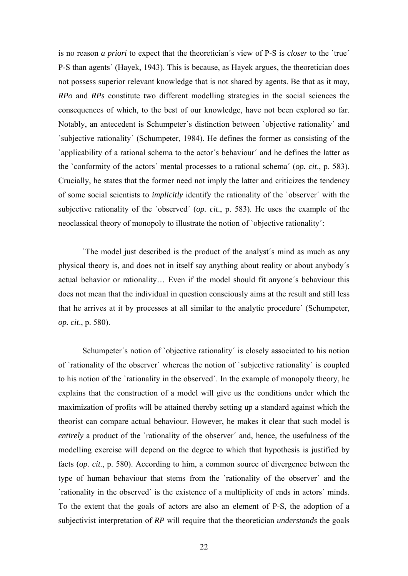is no reason *a priori* to expect that the theoretician´s view of P-S is *closer* to the `true´ P-S than agents´ (Hayek, 1943). This is because, as Hayek argues, the theoretician does not possess superior relevant knowledge that is not shared by agents. Be that as it may, *RPo* and *RPs* constitute two different modelling strategies in the social sciences the consequences of which, to the best of our knowledge, have not been explored so far. Notably, an antecedent is Schumpeter´s distinction between `objective rationality´ and `subjective rationality´ (Schumpeter, 1984). He defines the former as consisting of the `applicability of a rational schema to the actor´s behaviour´ and he defines the latter as the `conformity of the actors´ mental processes to a rational schema´ (*op. cit*., p. 583). Crucially, he states that the former need not imply the latter and criticizes the tendency of some social scientists to *implicitly* identify the rationality of the `observer´ with the subjective rationality of the `observed´ (*op. cit*., p. 583). He uses the example of the neoclassical theory of monopoly to illustrate the notion of `objective rationality´:

`The model just described is the product of the analyst´s mind as much as any physical theory is, and does not in itself say anything about reality or about anybody´s actual behavior or rationality… Even if the model should fit anyone´s behaviour this does not mean that the individual in question consciously aims at the result and still less that he arrives at it by processes at all similar to the analytic procedure´ (Schumpeter, *op. cit*., p. 580).

Schumpeter's notion of `objective rationality' is closely associated to his notion of `rationality of the observer´ whereas the notion of `subjective rationality´ is coupled to his notion of the `rationality in the observed´. In the example of monopoly theory, he explains that the construction of a model will give us the conditions under which the maximization of profits will be attained thereby setting up a standard against which the theorist can compare actual behaviour. However, he makes it clear that such model is *entirely* a product of the `rationality of the observer´ and, hence, the usefulness of the modelling exercise will depend on the degree to which that hypothesis is justified by facts (*op. cit*., p. 580). According to him, a common source of divergence between the type of human behaviour that stems from the `rationality of the observer´ and the `rationality in the observed´ is the existence of a multiplicity of ends in actors´ minds. To the extent that the goals of actors are also an element of P-S, the adoption of a subjectivist interpretation of *RP* will require that the theoretician *understands* the goals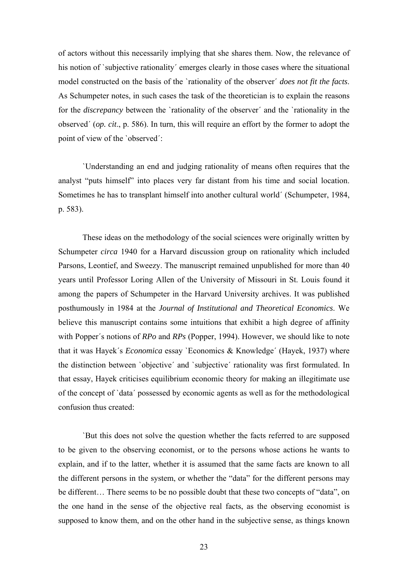of actors without this necessarily implying that she shares them. Now, the relevance of his notion of `subjective rationality´ emerges clearly in those cases where the situational model constructed on the basis of the `rationality of the observer´ *does not fit the facts*. As Schumpeter notes, in such cases the task of the theoretician is to explain the reasons for the *discrepancy* between the `rationality of the observer´ and the `rationality in the observed´ (*op. cit*., p. 586). In turn, this will require an effort by the former to adopt the point of view of the `observed´:

`Understanding an end and judging rationality of means often requires that the analyst "puts himself" into places very far distant from his time and social location. Sometimes he has to transplant himself into another cultural world´ (Schumpeter, 1984, p. 583).

These ideas on the methodology of the social sciences were originally written by Schumpeter *circa* 1940 for a Harvard discussion group on rationality which included Parsons, Leontief, and Sweezy. The manuscript remained unpublished for more than 40 years until Professor Loring Allen of the University of Missouri in St. Louis found it among the papers of Schumpeter in the Harvard University archives. It was published posthumously in 1984 at the *Journal of Institutional and Theoretical Economics*. We believe this manuscript contains some intuitions that exhibit a high degree of affinity with Popper's notions of *RPo* and *RPs* (Popper, 1994). However, we should like to note that it was Hayek´s *Economica* essay `Economics & Knowledge´ (Hayek, 1937) where the distinction between `objective´ and `subjective´ rationality was first formulated. In that essay, Hayek criticises equilibrium economic theory for making an illegitimate use of the concept of `data´ possessed by economic agents as well as for the methodological confusion thus created:

`But this does not solve the question whether the facts referred to are supposed to be given to the observing economist, or to the persons whose actions he wants to explain, and if to the latter, whether it is assumed that the same facts are known to all the different persons in the system, or whether the "data" for the different persons may be different… There seems to be no possible doubt that these two concepts of "data", on the one hand in the sense of the objective real facts, as the observing economist is supposed to know them, and on the other hand in the subjective sense, as things known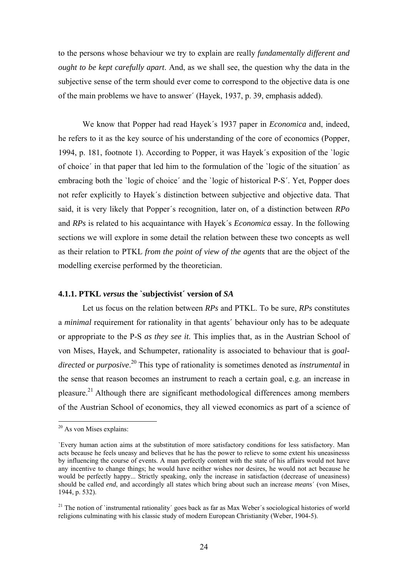to the persons whose behaviour we try to explain are really *fundamentally different and ought to be kept carefully apart*. And, as we shall see, the question why the data in the subjective sense of the term should ever come to correspond to the objective data is one of the main problems we have to answer´ (Hayek, 1937, p. 39, emphasis added).

We know that Popper had read Hayek´s 1937 paper in *Economica* and, indeed, he refers to it as the key source of his understanding of the core of economics (Popper, 1994, p. 181, footnote 1). According to Popper, it was Hayek´s exposition of the `logic of choice´ in that paper that led him to the formulation of the `logic of the situation´ as embracing both the `logic of choice´ and the `logic of historical P-S´. Yet, Popper does not refer explicitly to Hayek´s distinction between subjective and objective data. That said, it is very likely that Popper´s recognition, later on, of a distinction between *RPo* and *RPs* is related to his acquaintance with Hayek´s *Economica* essay. In the following sections we will explore in some detail the relation between these two concepts as well as their relation to PTKL *from the point of view of the agents* that are the object of the modelling exercise performed by the theoretician.

# **4.1.1. PTKL** *versus* **the `subjectivist´ version of** *SA*

Let us focus on the relation between *RPs* and PTKL. To be sure, *RPs* constitutes a *minimal* requirement for rationality in that agents´ behaviour only has to be adequate or appropriate to the P-S *as they see it*. This implies that, as in the Austrian School of von Mises, Hayek, and Schumpeter, rationality is associated to behaviour that is *goaldirected* or *purposive*. 20 This type of rationality is sometimes denoted as *instrumental* in the sense that reason becomes an instrument to reach a certain goal, e.g. an increase in pleasure.21 Although there are significant methodological differences among members of the Austrian School of economics, they all viewed economics as part of a science of

 $20$  As von Mises explains:

<sup>`</sup>Every human action aims at the substitution of more satisfactory conditions for less satisfactory. Man acts because he feels uneasy and believes that he has the power to relieve to some extent his uneasinesss by influencing the course of events. A man perfectly content with the state of his affairs would not have any incentive to change things; he would have neither wishes nor desires, he would not act because he would be perfectly happy... Strictly speaking, only the increase in satisfaction (decrease of uneasiness) should be called *end*, and accordingly all states which bring about such an increase *means*´ (von Mises, 1944, p. 532).

<sup>&</sup>lt;sup>21</sup> The notion of `instrumental rationality´ goes back as far as Max Weber´s sociological histories of world religions culminating with his classic study of modern European Christianity (Weber, 1904-5).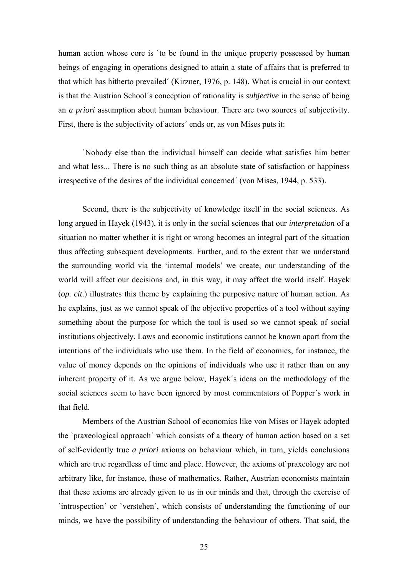human action whose core is 'to be found in the unique property possessed by human beings of engaging in operations designed to attain a state of affairs that is preferred to that which has hitherto prevailed´ (Kirzner, 1976, p. 148). What is crucial in our context is that the Austrian School´s conception of rationality is *subjective* in the sense of being an *a priori* assumption about human behaviour. There are two sources of subjectivity. First, there is the subjectivity of actors' ends or, as von Mises puts it:

`Nobody else than the individual himself can decide what satisfies him better and what less... There is no such thing as an absolute state of satisfaction or happiness irrespective of the desires of the individual concerned´ (von Mises, 1944, p. 533).

Second, there is the subjectivity of knowledge itself in the social sciences. As long argued in Hayek (1943), it is only in the social sciences that our *interpretation* of a situation no matter whether it is right or wrong becomes an integral part of the situation thus affecting subsequent developments. Further, and to the extent that we understand the surrounding world via the 'internal models' we create, our understanding of the world will affect our decisions and, in this way, it may affect the world itself. Hayek (*op. cit*.) illustrates this theme by explaining the purposive nature of human action. As he explains, just as we cannot speak of the objective properties of a tool without saying something about the purpose for which the tool is used so we cannot speak of social institutions objectively. Laws and economic institutions cannot be known apart from the intentions of the individuals who use them. In the field of economics, for instance, the value of money depends on the opinions of individuals who use it rather than on any inherent property of it. As we argue below, Hayek´s ideas on the methodology of the social sciences seem to have been ignored by most commentators of Popper´s work in that field.

Members of the Austrian School of economics like von Mises or Hayek adopted the `praxeological approach´ which consists of a theory of human action based on a set of self-evidently true *a priori* axioms on behaviour which, in turn, yields conclusions which are true regardless of time and place. However, the axioms of praxeology are not arbitrary like, for instance, those of mathematics. Rather, Austrian economists maintain that these axioms are already given to us in our minds and that, through the exercise of `introspection´ or `verstehen´, which consists of understanding the functioning of our minds, we have the possibility of understanding the behaviour of others. That said, the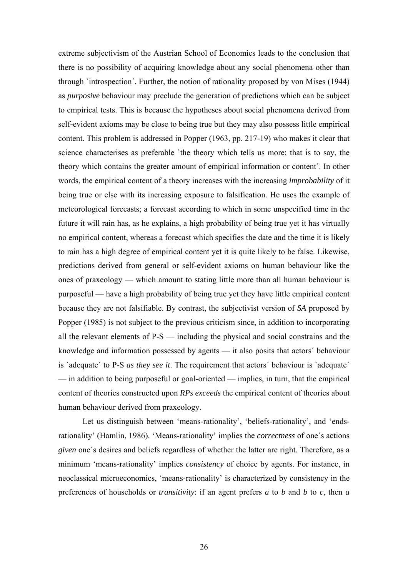extreme subjectivism of the Austrian School of Economics leads to the conclusion that there is no possibility of acquiring knowledge about any social phenomena other than through `introspection´. Further, the notion of rationality proposed by von Mises (1944) as *purposive* behaviour may preclude the generation of predictions which can be subject to empirical tests. This is because the hypotheses about social phenomena derived from self-evident axioms may be close to being true but they may also possess little empirical content. This problem is addressed in Popper (1963, pp. 217-19) who makes it clear that science characterises as preferable 'the theory which tells us more; that is to say, the theory which contains the greater amount of empirical information or content´. In other words, the empirical content of a theory increases with the increasing *improbability* of it being true or else with its increasing exposure to falsification. He uses the example of meteorological forecasts; a forecast according to which in some unspecified time in the future it will rain has, as he explains, a high probability of being true yet it has virtually no empirical content, whereas a forecast which specifies the date and the time it is likely to rain has a high degree of empirical content yet it is quite likely to be false. Likewise, predictions derived from general or self-evident axioms on human behaviour like the ones of praxeology — which amount to stating little more than all human behaviour is purposeful — have a high probability of being true yet they have little empirical content because they are not falsifiable. By contrast, the subjectivist version of *SA* proposed by Popper (1985) is not subject to the previous criticism since, in addition to incorporating all the relevant elements of P-S — including the physical and social constrains and the knowledge and information possessed by agents — it also posits that actors´ behaviour is `adequate´ to P-S *as they see it*. The requirement that actors´ behaviour is `adequate´ — in addition to being purposeful or goal-oriented — implies, in turn, that the empirical content of theories constructed upon *RPs exceeds* the empirical content of theories about human behaviour derived from praxeology.

Let us distinguish between 'means-rationality', 'beliefs-rationality', and 'endsrationality' (Hamlin, 1986). 'Means-rationality' implies the *correctness* of one´s actions *given* one´s desires and beliefs regardless of whether the latter are right. Therefore, as a minimum 'means-rationality' implies *consistency* of choice by agents. For instance, in neoclassical microeconomics, 'means-rationality' is characterized by consistency in the preferences of households or *transitivity*: if an agent prefers *a* to *b* and *b* to *c*, then *a*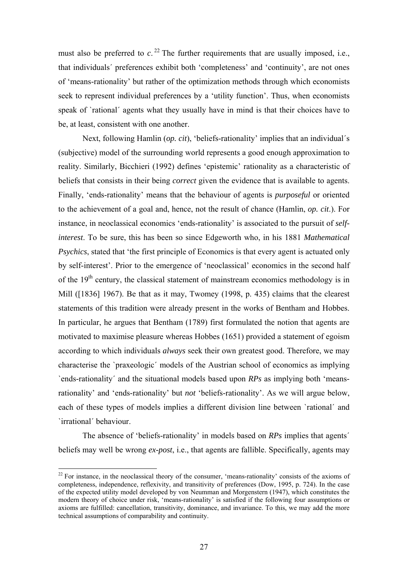must also be preferred to  $c<sup>22</sup>$ . The further requirements that are usually imposed, i.e., that individuals´ preferences exhibit both 'completeness' and 'continuity', are not ones of 'means-rationality' but rather of the optimization methods through which economists seek to represent individual preferences by a 'utility function'. Thus, when economists speak of `rational' agents what they usually have in mind is that their choices have to be, at least, consistent with one another.

Next, following Hamlin (*op. cit*), 'beliefs-rationality' implies that an individual´s (subjective) model of the surrounding world represents a good enough approximation to reality. Similarly, Bicchieri (1992) defines 'epistemic' rationality as a characteristic of beliefs that consists in their being *correct* given the evidence that is available to agents. Finally, 'ends-rationality' means that the behaviour of agents is *purposeful* or oriented to the achievement of a goal and, hence, not the result of chance (Hamlin, *op. cit*.). For instance, in neoclassical economics 'ends-rationality' is associated to the pursuit of *selfinterest*. To be sure, this has been so since Edgeworth who, in his 1881 *Mathematical Psychics*, stated that 'the first principle of Economics is that every agent is actuated only by self-interest'. Prior to the emergence of 'neoclassical' economics in the second half of the  $19<sup>th</sup>$  century, the classical statement of mainstream economics methodology is in Mill ([1836] 1967). Be that as it may, Twomey (1998, p. 435) claims that the clearest statements of this tradition were already present in the works of Bentham and Hobbes. In particular, he argues that Bentham (1789) first formulated the notion that agents are motivated to maximise pleasure whereas Hobbes (1651) provided a statement of egoism according to which individuals *always* seek their own greatest good. Therefore, we may characterise the `praxeologic´ models of the Austrian school of economics as implying `ends-rationality´ and the situational models based upon *RPs* as implying both 'meansrationality' and 'ends-rationality' but *not* 'beliefs-rationality'. As we will argue below, each of these types of models implies a different division line between `rational´ and `irrational´ behaviour.

The absence of 'beliefs-rationality' in models based on *RPs* implies that agents´ beliefs may well be wrong *ex-post*, i.e., that agents are fallible. Specifically, agents may

 $22$  For instance, in the neoclassical theory of the consumer, 'means-rationality' consists of the axioms of completeness, independence, reflexivity, and transitivity of preferences (Dow, 1995, p. 724). In the case of the expected utility model developed by von Neumman and Morgenstern (1947), which constitutes the modern theory of choice under risk, 'means-rationality' is satisfied if the following four assumptions or axioms are fulfilled: cancellation, transitivity, dominance, and invariance. To this, we may add the more technical assumptions of comparability and continuity.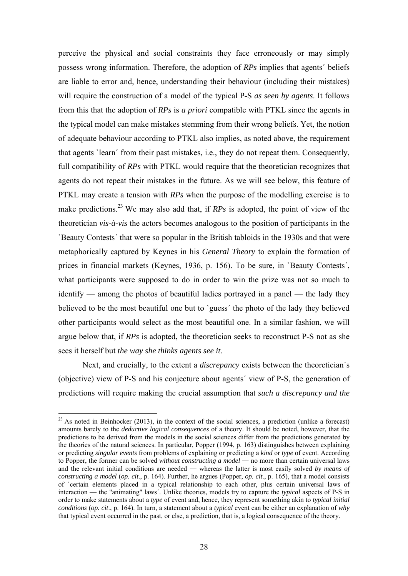perceive the physical and social constraints they face erroneously or may simply possess wrong information. Therefore, the adoption of *RPs* implies that agents´ beliefs are liable to error and, hence, understanding their behaviour (including their mistakes) will require the construction of a model of the typical P-S *as seen by agents*. It follows from this that the adoption of *RPs* is *a priori* compatible with PTKL since the agents in the typical model can make mistakes stemming from their wrong beliefs. Yet, the notion of adequate behaviour according to PTKL also implies, as noted above, the requirement that agents `learn´ from their past mistakes, i.e., they do not repeat them. Consequently, full compatibility of *RPs* with PTKL would require that the theoretician recognizes that agents do not repeat their mistakes in the future. As we will see below, this feature of PTKL may create a tension with *RPs* when the purpose of the modelling exercise is to make predictions.23 We may also add that, if *RPs* is adopted, the point of view of the theoretician *vis-à-vis* the actors becomes analogous to the position of participants in the `Beauty Contests´ that were so popular in the British tabloids in the 1930s and that were metaphorically captured by Keynes in his *General Theory* to explain the formation of prices in financial markets (Keynes, 1936, p. 156). To be sure, in `Beauty Contests´, what participants were supposed to do in order to win the prize was not so much to identify — among the photos of beautiful ladies portrayed in a panel — the lady they believed to be the most beautiful one but to `guess´ the photo of the lady they believed other participants would select as the most beautiful one. In a similar fashion, we will argue below that, if *RPs* is adopted, the theoretician seeks to reconstruct P-S not as she sees it herself but *the way she thinks agents see it*.

Next, and crucially, to the extent a *discrepancy* exists between the theoretician´s (objective) view of P-S and his conjecture about agents´ view of P-S, the generation of predictions will require making the crucial assumption that *such a discrepancy and the* 

<u>.</u>

 $23$  As noted in Beinhocker (2013), in the context of the social sciences, a prediction (unlike a forecast) amounts barely to the *deductive logical consequences* of a theory. It should be noted, however, that the predictions to be derived from the models in the social sciences differ from the predictions generated by the theories of the natural sciences. In particular, Popper (1994, p. 163) distinguishes between explaining or predicting *singular events* from problems of explaining or predicting a *kind* or *type* of event. According to Popper, the former can be solved *without constructing a model* ― no more than certain universal laws and the relevant initial conditions are needed ― whereas the latter is most easily solved *by means of constructing a model* (*op. cit*., p. 164). Further, he argues (Popper, *op. cit*., p. 165), that a model consists of `certain elements placed in a typical relationship to each other, plus certain universal laws of interaction — the "animating" laws´. Unlike theories, models try to capture the *typical* aspects of P-S in order to make statements about a *type* of event and, hence, they represent something akin to *typical initial conditions* (*op. cit*., p. 164). In turn, a statement about a *typical* event can be either an explanation of *why* that typical event occurred in the past, or else, a prediction, that is, a logical consequence of the theory.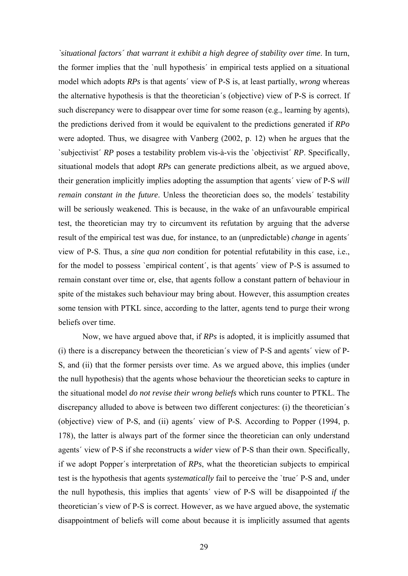*`situational factors´ that warrant it exhibit a high degree of stability over time*. In turn, the former implies that the `null hypothesis´ in empirical tests applied on a situational model which adopts *RPs* is that agents´ view of P-S is, at least partially, *wrong* whereas the alternative hypothesis is that the theoretician´s (objective) view of P-S is correct. If such discrepancy were to disappear over time for some reason (e.g., learning by agents), the predictions derived from it would be equivalent to the predictions generated if *RPo* were adopted. Thus, we disagree with Vanberg (2002, p. 12) when he argues that the `subjectivist´ *RP* poses a testability problem vis-à-vis the `objectivist´ *RP*. Specifically, situational models that adopt *RPs* can generate predictions albeit, as we argued above, their generation implicitly implies adopting the assumption that agents´ view of P-S *will remain constant in the future*. Unless the theoretician does so, the models' testability will be seriously weakened. This is because, in the wake of an unfavourable empirical test, the theoretician may try to circumvent its refutation by arguing that the adverse result of the empirical test was due, for instance, to an (unpredictable) *change* in agents´ view of P-S. Thus, a *sine qua non* condition for potential refutability in this case, i.e., for the model to possess `empirical content´, is that agents´ view of P-S is assumed to remain constant over time or, else, that agents follow a constant pattern of behaviour in spite of the mistakes such behaviour may bring about. However, this assumption creates some tension with PTKL since, according to the latter, agents tend to purge their wrong beliefs over time.

Now, we have argued above that, if *RPs* is adopted, it is implicitly assumed that (i) there is a discrepancy between the theoretician´s view of P-S and agents´ view of P-S, and (ii) that the former persists over time. As we argued above, this implies (under the null hypothesis) that the agents whose behaviour the theoretician seeks to capture in the situational model *do not revise their wrong beliefs* which runs counter to PTKL. The discrepancy alluded to above is between two different conjectures: (i) the theoretician´s (objective) view of P-S, and (ii) agents´ view of P-S. According to Popper (1994, p. 178), the latter is always part of the former since the theoretician can only understand agents´ view of P-S if she reconstructs a *wider* view of P-S than their own. Specifically, if we adopt Popper´s interpretation of *RPs*, what the theoretician subjects to empirical test is the hypothesis that agents *systematically* fail to perceive the `true´ P-S and, under the null hypothesis, this implies that agents´ view of P-S will be disappointed *if* the theoretician´s view of P-S is correct. However, as we have argued above, the systematic disappointment of beliefs will come about because it is implicitly assumed that agents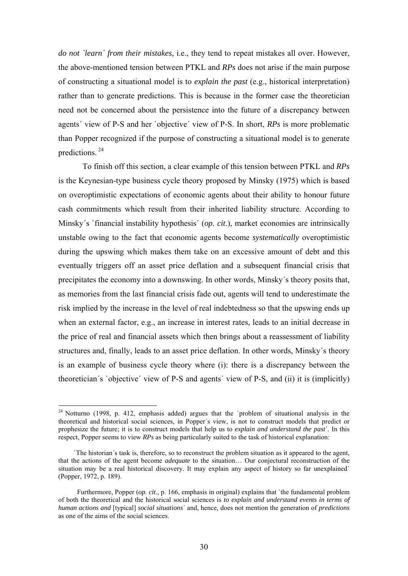*do not `learn´ from their mistakes,* i.e., they tend to repeat mistakes all over. However, the above-mentioned tension between PTKL and *RPs* does not arise if the main purpose of constructing a situational model is to *explain the past* (e.g., historical interpretation) rather than to generate predictions. This is because in the former case the theoretician need not be concerned about the persistence into the future of a discrepancy between agents´ view of P-S and her `objective´ view of P-S. In short, *RPs* is more problematic than Popper recognized if the purpose of constructing a situational model is to generate predictions. 24

To finish off this section, a clear example of this tension between PTKL and *RPs* is the Keynesian-type business cycle theory proposed by Minsky (1975) which is based on overoptimistic expectations of economic agents about their ability to honour future cash commitments which result from their inherited liability structure. According to Minsky´s `financial instability hypothesis´ (*op. cit*.), market economies are intrinsically unstable owing to the fact that economic agents become *systematically* overoptimistic during the upswing which makes them take on an excessive amount of debt and this eventually triggers off an asset price deflation and a subsequent financial crisis that precipitates the economy into a downswing. In other words, Minsky´s theory posits that, as memories from the last financial crisis fade out, agents will tend to underestimate the risk implied by the increase in the level of real indebtedness so that the upswing ends up when an external factor, e.g., an increase in interest rates, leads to an initial decrease in the price of real and financial assets which then brings about a reassessment of liability structures and, finally, leads to an asset price deflation. In other words, Minsky´s theory is an example of business cycle theory where (i): there is a discrepancy between the theoretician´s `objective´ view of P-S and agents´ view of P-S, and (ii) it is (implicitly)

<sup>&</sup>lt;sup>24</sup> Notturno (1998, p. 412, emphasis added) argues that the `problem of situational analysis in the theoretical and historical social sciences, in Popper´s view, is not to construct models that predict or prophesize the future; it is to construct models that help us to *explain and understand the past*´. In this respect, Popper seems to view *RPs* as being particularly suited to the task of historical explanation:

 <sup>`</sup>The historian´s task is, therefore, so to reconstruct the problem situation as it appeared to the agent, that the actions of the agent become *adequate* to the situation… Our conjectural reconstruction of the situation may be a real historical discovery. It may explain any aspect of history so far unexplained´ (Popper, 1972, p. 189).

Furthermore, Popper (*op. cit*., p. 166, emphasis in original) explains that `the fundamental problem of both the theoretical and the historical social sciences is *to explain and understand events in terms of human actions and* [typical] *social situations*´ and, hence, does not mention the generation of *predictions* as one of the aims of the social sciences.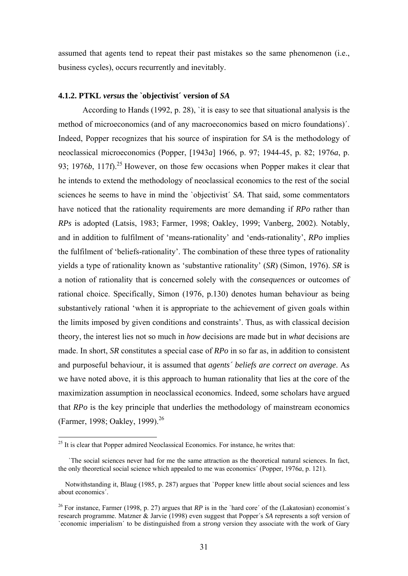assumed that agents tend to repeat their past mistakes so the same phenomenon (i.e., business cycles), occurs recurrently and inevitably.

### **4.1.2. PTKL** *versus* **the `objectivist´ version of** *SA*

According to Hands (1992, p. 28), `it is easy to see that situational analysis is the method of microeconomics (and of any macroeconomics based on micro foundations)´. Indeed, Popper recognizes that his source of inspiration for *SA* is the methodology of neoclassical microeconomics (Popper, [1943*a*] 1966, p. 97; 1944-45, p. 82; 1976*a*, p. 93; 1976*b*, 117f).<sup>25</sup> However, on those few occasions when Popper makes it clear that he intends to extend the methodology of neoclassical economics to the rest of the social sciences he seems to have in mind the 'objectivist' *SA*. That said, some commentators have noticed that the rationality requirements are more demanding if *RPo* rather than *RPs* is adopted (Latsis, 1983; Farmer, 1998; Oakley, 1999; Vanberg, 2002). Notably, and in addition to fulfilment of 'means-rationality' and 'ends-rationality', *RPo* implies the fulfilment of 'beliefs-rationality'. The combination of these three types of rationality yields a type of rationality known as 'substantive rationality' (*SR*) (Simon, 1976). *SR* is a notion of rationality that is concerned solely with the *consequences* or outcomes of rational choice. Specifically, Simon (1976, p.130) denotes human behaviour as being substantively rational 'when it is appropriate to the achievement of given goals within the limits imposed by given conditions and constraints'. Thus, as with classical decision theory, the interest lies not so much in *how* decisions are made but in *what* decisions are made. In short, *SR* constitutes a special case of *RPo* in so far as, in addition to consistent and purposeful behaviour, it is assumed that *agents´ beliefs are correct on average*. As we have noted above, it is this approach to human rationality that lies at the core of the maximization assumption in neoclassical economics. Indeed, some scholars have argued that *RPo* is the key principle that underlies the methodology of mainstream economics (Farmer, 1998; Oakley, 1999).<sup>26</sup>

 $25$  It is clear that Popper admired Neoclassical Economics. For instance, he writes that:

 <sup>`</sup>The social sciences never had for me the same attraction as the theoretical natural sciences. In fact, the only theoretical social science which appealed to me was economics´ (Popper, 1976*a*, p. 121).

Notwithstanding it, Blaug (1985, p. 287) argues that `Popper knew little about social sciences and less about economics´.

<sup>&</sup>lt;sup>26</sup> For instance, Farmer (1998, p. 27) argues that  $RP$  is in the `hard core' of the (Lakatosian) economist's research programme. Matzner & Jarvie (1998) even suggest that Popper´s *SA* represents a *soft* version of `economic imperialism´ to be distinguished from a *strong* version they associate with the work of Gary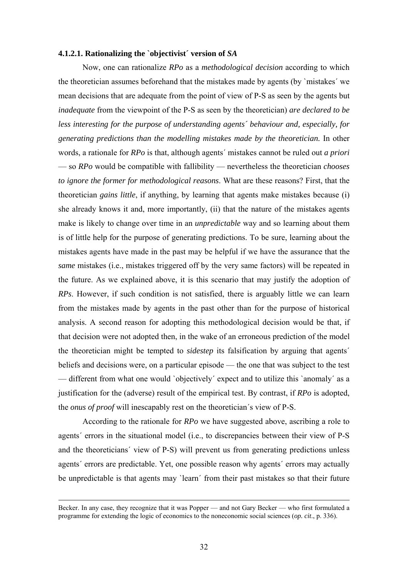#### **4.1.2.1. Rationalizing the `objectivist´ version of** *SA*

Now, one can rationalize *RPo* as a *methodological decision* according to which the theoretician assumes beforehand that the mistakes made by agents (by `mistakes´ we mean decisions that are adequate from the point of view of P-S as seen by the agents but *inadequate* from the viewpoint of the P-S as seen by the theoretician) *are declared to be less interesting for the purpose of understanding agents´ behaviour and, especially, for generating predictions than the modelling mistakes made by the theoretician.* In other words, a rationale for *RPo* is that, although agents´ mistakes cannot be ruled out *a priori* — so *RPo* would be compatible with fallibility — nevertheless the theoretician *chooses to ignore the former for methodological reasons*. What are these reasons? First, that the theoretician *gains little*, if anything, by learning that agents make mistakes because (i) she already knows it and, more importantly, (ii) that the nature of the mistakes agents make is likely to change over time in an *unpredictable* way and so learning about them is of little help for the purpose of generating predictions. To be sure, learning about the mistakes agents have made in the past may be helpful if we have the assurance that the *same* mistakes (i.e., mistakes triggered off by the very same factors) will be repeated in the future. As we explained above, it is this scenario that may justify the adoption of *RPs*. However, if such condition is not satisfied, there is arguably little we can learn from the mistakes made by agents in the past other than for the purpose of historical analysis. A second reason for adopting this methodological decision would be that, if that decision were not adopted then, in the wake of an erroneous prediction of the model the theoretician might be tempted to *sidestep* its falsification by arguing that agents´ beliefs and decisions were, on a particular episode — the one that was subject to the test — different from what one would `objectively´ expect and to utilize this `anomaly´ as a justification for the (adverse) result of the empirical test. By contrast, if *RPo* is adopted, the *onus of proof* will inescapably rest on the theoretician´s view of P-S.

According to the rationale for *RPo* we have suggested above, ascribing a role to agents´ errors in the situational model (i.e., to discrepancies between their view of P-S and the theoreticians´ view of P-S) will prevent us from generating predictions unless agents´ errors are predictable. Yet, one possible reason why agents´ errors may actually be unpredictable is that agents may `learn´ from their past mistakes so that their future

Becker. In any case, they recognize that it was Popper — and not Gary Becker — who first formulated a programme for extending the logic of economics to the noneconomic social sciences (*op. cit*., p. 336).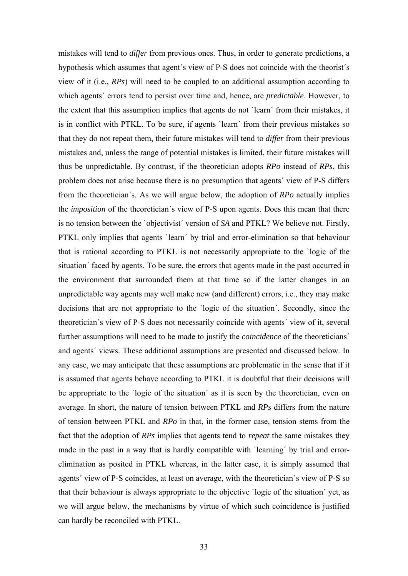mistakes will tend to *differ* from previous ones. Thus, in order to generate predictions, a hypothesis which assumes that agent´s view of P-S does not coincide with the theorist´s view of it (i.e., *RPs*) will need to be coupled to an additional assumption according to which agents´ errors tend to persist over time and, hence, are *predictable*. However, to the extent that this assumption implies that agents do not `learn´ from their mistakes, it is in conflict with PTKL. To be sure, if agents `learn´ from their previous mistakes so that they do not repeat them, their future mistakes will tend to *differ* from their previous mistakes and, unless the range of potential mistakes is limited, their future mistakes will thus be unpredictable. By contrast, if the theoretician adopts *RPo* instead of *RPs*, this problem does not arise because there is no presumption that agents´ view of P-S differs from the theoretician´s. As we will argue below, the adoption of *RPo* actually implies the *imposition* of the theoretician´s view of P-S upon agents. Does this mean that there is no tension between the `objectivist´ version of *SA* and PTKL? We believe not. Firstly, PTKL only implies that agents `learn´ by trial and error-elimination so that behaviour that is rational according to PTKL is not necessarily appropriate to the `logic of the situation´ faced by agents. To be sure, the errors that agents made in the past occurred in the environment that surrounded them at that time so if the latter changes in an unpredictable way agents may well make new (and different) errors, i.e., they may make decisions that are not appropriate to the `logic of the situation´. Secondly, since the theoretician´s view of P-S does not necessarily coincide with agents´ view of it, several further assumptions will need to be made to justify the *coincidence* of the theoreticians´ and agents´ views. These additional assumptions are presented and discussed below. In any case, we may anticipate that these assumptions are problematic in the sense that if it is assumed that agents behave according to PTKL it is doubtful that their decisions will be appropriate to the `logic of the situation´ as it is seen by the theoretician, even on average. In short, the nature of tension between PTKL and *RPs* differs from the nature of tension between PTKL and *RPo* in that, in the former case, tension stems from the fact that the adoption of *RPs* implies that agents tend to *repeat* the same mistakes they made in the past in a way that is hardly compatible with `learning´ by trial and errorelimination as posited in PTKL whereas, in the latter case, it is simply assumed that agents´ view of P-S coincides, at least on average, with the theoretician´s view of P-S so that their behaviour is always appropriate to the objective `logic of the situation´ yet, as we will argue below, the mechanisms by virtue of which such coincidence is justified can hardly be reconciled with PTKL.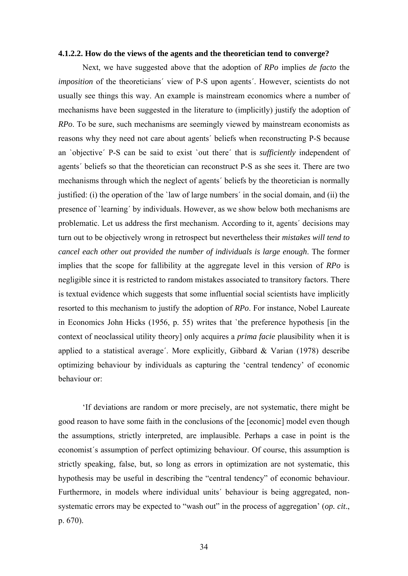#### **4.1.2.2. How do the views of the agents and the theoretician tend to converge?**

Next, we have suggested above that the adoption of *RPo* implies *de facto* the *imposition* of the theoreticians´ view of P-S upon agents´. However, scientists do not usually see things this way. An example is mainstream economics where a number of mechanisms have been suggested in the literature to (implicitly) justify the adoption of *RPo*. To be sure, such mechanisms are seemingly viewed by mainstream economists as reasons why they need not care about agents´ beliefs when reconstructing P-S because an `objective´ P-S can be said to exist `out there´ that is *sufficiently* independent of agents´ beliefs so that the theoretician can reconstruct P-S as she sees it. There are two mechanisms through which the neglect of agents´ beliefs by the theoretician is normally justified: (i) the operation of the `law of large numbers´ in the social domain, and (ii) the presence of `learning´ by individuals. However, as we show below both mechanisms are problematic. Let us address the first mechanism. According to it, agents´ decisions may turn out to be objectively wrong in retrospect but nevertheless their *mistakes will tend to cancel each other out provided the number of individuals is large enough*. The former implies that the scope for fallibility at the aggregate level in this version of *RPo* is negligible since it is restricted to random mistakes associated to transitory factors. There is textual evidence which suggests that some influential social scientists have implicitly resorted to this mechanism to justify the adoption of *RPo*. For instance, Nobel Laureate in Economics John Hicks (1956, p. 55) writes that `the preference hypothesis [in the context of neoclassical utility theory] only acquires a *prima facie* plausibility when it is applied to a statistical average'. More explicitly, Gibbard & Varian  $(1978)$  describe optimizing behaviour by individuals as capturing the 'central tendency' of economic behaviour or:

'If deviations are random or more precisely, are not systematic, there might be good reason to have some faith in the conclusions of the [economic] model even though the assumptions, strictly interpreted, are implausible. Perhaps a case in point is the economist´s assumption of perfect optimizing behaviour. Of course, this assumption is strictly speaking, false, but, so long as errors in optimization are not systematic, this hypothesis may be useful in describing the "central tendency" of economic behaviour. Furthermore, in models where individual units´ behaviour is being aggregated, nonsystematic errors may be expected to "wash out" in the process of aggregation' (*op. cit*., p. 670).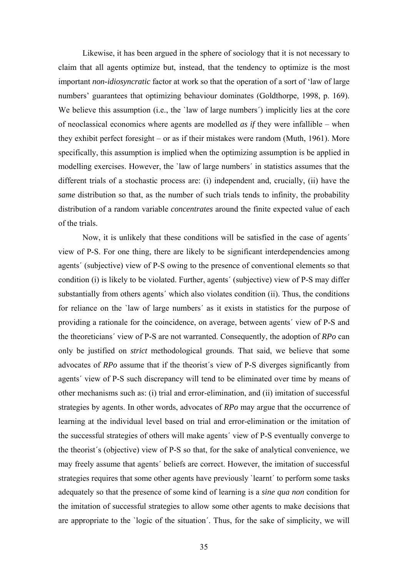Likewise, it has been argued in the sphere of sociology that it is not necessary to claim that all agents optimize but, instead, that the tendency to optimize is the most important *non-idiosyncratic* factor at work so that the operation of a sort of 'law of large numbers' guarantees that optimizing behaviour dominates (Goldthorpe, 1998, p. 169). We believe this assumption (i.e., the 'law of large numbers') implicitly lies at the core of neoclassical economics where agents are modelled *as if* they were infallible – when they exhibit perfect foresight – or as if their mistakes were random (Muth, 1961). More specifically, this assumption is implied when the optimizing assumption is be applied in modelling exercises. However, the `law of large numbers´ in statistics assumes that the different trials of a stochastic process are: (i) independent and, crucially, (ii) have the *same* distribution so that, as the number of such trials tends to infinity, the probability distribution of a random variable *concentrates* around the finite expected value of each of the trials.

Now, it is unlikely that these conditions will be satisfied in the case of agents´ view of P-S. For one thing, there are likely to be significant interdependencies among agents´ (subjective) view of P-S owing to the presence of conventional elements so that condition (i) is likely to be violated. Further, agents´ (subjective) view of P-S may differ substantially from others agents´ which also violates condition (ii). Thus, the conditions for reliance on the `law of large numbers´ as it exists in statistics for the purpose of providing a rationale for the coincidence, on average, between agents´ view of P-S and the theoreticians´ view of P-S are not warranted. Consequently, the adoption of *RPo* can only be justified on *strict* methodological grounds. That said, we believe that some advocates of *RPo* assume that if the theorist´s view of P-S diverges significantly from agents´ view of P-S such discrepancy will tend to be eliminated over time by means of other mechanisms such as: (i) trial and error-elimination, and (ii) imitation of successful strategies by agents. In other words, advocates of *RPo* may argue that the occurrence of learning at the individual level based on trial and error-elimination or the imitation of the successful strategies of others will make agents´ view of P-S eventually converge to the theorist´s (objective) view of P-S so that, for the sake of analytical convenience, we may freely assume that agents´ beliefs are correct. However, the imitation of successful strategies requires that some other agents have previously `learnt´ to perform some tasks adequately so that the presence of some kind of learning is a *sine qua non* condition for the imitation of successful strategies to allow some other agents to make decisions that are appropriate to the `logic of the situation´. Thus, for the sake of simplicity, we will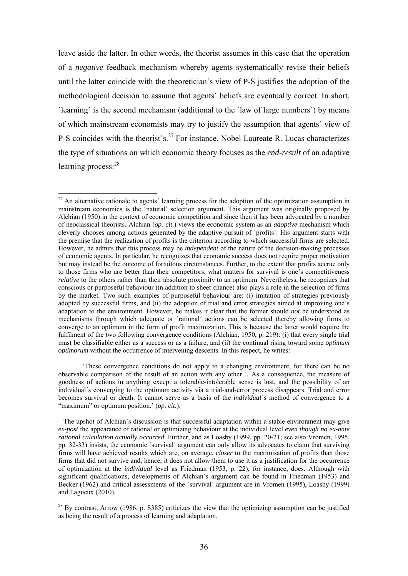leave aside the latter. In other words, the theorist assumes in this case that the operation of a *negative* feedback mechanism whereby agents systematically revise their beliefs until the latter coincide with the theoretician´s view of P-S justifies the adoption of the methodological decision to assume that agents´ beliefs are eventually correct. In short, `learning´ is the second mechanism (additional to the `law of large numbers´) by means of which mainstream economists may try to justify the assumption that agents´ view of P-S coincides with the theorist's.<sup>27</sup> For instance, Nobel Laureate R. Lucas characterizes the type of situations on which economic theory focuses as the *end-result* of an adaptive learning process:<sup>28</sup>

1

'These convergence conditions do not apply to a changing environment, for there can be no observable comparison of the result of an action with any other… As a consequence, the measure of goodness of actions in anything except a tolerable-intolerable sense is lost, and the possibility of an individual´s converging to the optimum activity via a trial-and-error process disappears. Trial and error becomes survival or death. It cannot serve as a basis of the *individual´s* method of convergence to a "maximum" or optimum position.' (*op. cit*.).

 $27$  An alternative rationale to agents' learning process for the adoption of the optimization assumption in mainstream economics is the 'natural' selection argument. This argument was originally proposed by Alchian (1950) in the context of economic competition and since then it has been advocated by a number of neoclassical theorists. Alchian (*op. cit*.) views the economic system as an *adoptive* mechanism which cleverly chooses among actions generated by the adaptive pursuit of `profits´. His argument starts with the premise that the realization of profits is the criterion according to which successful firms are selected. However, he admits that this process may be *independent* of the nature of the decision-making processes of economic agents. In particular, he recognizes that economic success does not require proper motivation but may instead be the outcome of fortuitous circumstances. Further, to the extent that profits accrue only to those firms who are better than their competitors, what matters for survival is one's competitiveness *relative* to the others rather than their absolute proximity to an optimum. Nevertheless, he recognizes that conscious or purposeful behaviour (in addition to sheer chance) also plays a role in the selection of firms by the market. Two such examples of purposeful behaviour are: (i) imitation of strategies previously adopted by successful firms, and (ii) the adoption of trial and error strategies aimed at improving one's adaptation to the environment. However, he makes it clear that the former should *not* be understood as mechanisms through which adequate or `rational´ actions can be selected thereby allowing firms to converge to an optimum in the form of profit maximization. This is because the latter would require the fulfilment of the two following convergence conditions (Alchian, 1950, p. 219): (i) that every single trial must be classifiable either as a success or as a failure, and (ii) the continual rising toward some *optimum optimorum* without the occurrence of intervening descents. In this respect, he writes:

The upshot of Alchian´s discussion is that successful adaptation within a stable environment may give *ex-post* the appearance of rational or optimizing behaviour at the individual level *even though no ex-ante rational calculation actually occurred*. Further, and as Loasby (1999, pp. 20-21; see also Vromen, 1995, pp. 32-33) insists, the economic `survival´ argument can only allow its advocates to claim that surviving firms will have achieved results which are, on average, *closer* to the maximisation of profits than those firms that did not survive and, hence, it does not allow them to use it as a justification for the occurrence of optimization at the *individual* level as Friedman (1953, p. 22), for instance, does. Although with significant qualifications, developments of Alchian´s argument can be found in Friedman (1953) and Becker (1962) and critical assessments of the `survival´ argument are in Vromen (1995), Loasby (1999) and Lagueux (2010).

 $^{28}$  By contrast, Arrow (1986, p. S385) criticizes the view that the optimizing assumption can be justified as being the result of a process of learning and adaptation.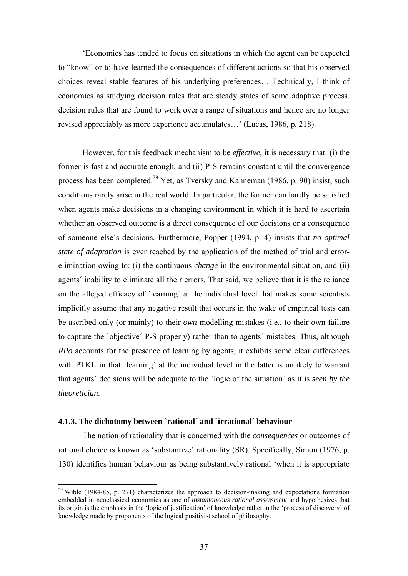'Economics has tended to focus on situations in which the agent can be expected to "know" or to have learned the consequences of different actions so that his observed choices reveal stable features of his underlying preferences… Technically, I think of economics as studying decision rules that are steady states of some adaptive process, decision rules that are found to work over a range of situations and hence are no longer revised appreciably as more experience accumulates…' (Lucas, 1986, p. 218).

However, for this feedback mechanism to be *effective*, it is necessary that: (i) the former is fast and accurate enough, and (ii) P-S remains constant until the convergence process has been completed.29 Yet, as Tversky and Kahneman (1986, p. 90) insist, such conditions rarely arise in the real world. In particular, the former can hardly be satisfied when agents make decisions in a changing environment in which it is hard to ascertain whether an observed outcome is a direct consequence of our decisions or a consequence of someone else´s decisions. Furthermore, Popper (1994, p. 4) insists that *no optimal state of adaptation* is ever reached by the application of the method of trial and errorelimination owing to: (i) the continuous *change* in the environmental situation, and (ii) agents´ inability to eliminate all their errors. That said, we believe that it is the reliance on the alleged efficacy of `learning´ at the individual level that makes some scientists implicitly assume that any negative result that occurs in the wake of empirical tests can be ascribed only (or mainly) to their *own* modelling mistakes (i.e., to their own failure to capture the `objective´ P-S properly) rather than to agents´ mistakes. Thus, although *RPo* accounts for the presence of learning by agents, it exhibits some clear differences with PTKL in that 'learning' at the individual level in the latter is unlikely to warrant that agents´ decisions will be adequate to the `logic of the situation´ as it is *seen by the theoretician*.

## **4.1.3. The dichotomy between `rational´ and `irrational´ behaviour**

1

The notion of rationality that is concerned with the *consequences* or outcomes of rational choice is known as 'substantive' rationality (SR). Specifically, Simon (1976, p. 130) identifies human behaviour as being substantively rational 'when it is appropriate

<sup>&</sup>lt;sup>29</sup> Wible (1984-85, p. 271) characterizes the approach to decision-making and expectations formation embedded in neoclassical economics as one of *instantaneous rational assessment* and hypothesizes that its origin is the emphasis in the 'logic of justification' of knowledge rather in the 'process of discovery' of knowledge made by proponents of the logical positivist school of philosophy.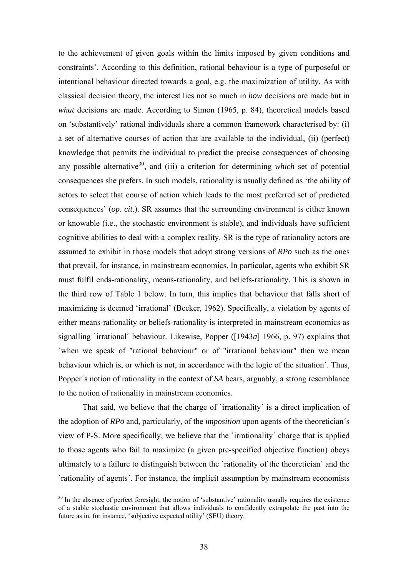to the achievement of given goals within the limits imposed by given conditions and constraints'. According to this definition, rational behaviour is a type of purposeful or intentional behaviour directed towards a goal, e.g. the maximization of utility. As with classical decision theory, the interest lies not so much in *how* decisions are made but in *what* decisions are made. According to Simon (1965, p. 84), theoretical models based on 'substantively' rational individuals share a common framework characterised by: (i) a set of alternative courses of action that are available to the individual, (ii) (perfect) knowledge that permits the individual to predict the precise consequences of choosing any possible alternative<sup>30</sup>, and (iii) a criterion for determining *which* set of potential consequences she prefers. In such models, rationality is usually defined as 'the ability of actors to select that course of action which leads to the most preferred set of predicted consequences' (*op. cit*.). SR assumes that the surrounding environment is either known or knowable (i.e., the stochastic environment is stable), and individuals have sufficient cognitive abilities to deal with a complex reality. SR is the type of rationality actors are assumed to exhibit in those models that adopt strong versions of *RPo* such as the ones that prevail, for instance, in mainstream economics. In particular, agents who exhibit SR must fulfil ends-rationality, means-rationality, and beliefs-rationality. This is shown in the third row of Table 1 below. In turn, this implies that behaviour that falls short of maximizing is deemed 'irrational' (Becker, 1962). Specifically, a violation by agents of either means-rationality or beliefs-rationality is interpreted in mainstream economics as signalling `irrational´ behaviour. Likewise, Popper ([1943*a*] 1966, p. 97) explains that `when we speak of "rational behaviour" or of "irrational behaviour" then we mean behaviour which is, or which is not, in accordance with the logic of the situation´. Thus, Popper´s notion of rationality in the context of *SA* bears, arguably, a strong resemblance to the notion of rationality in mainstream economics.

That said, we believe that the charge of 'irrationality' is a direct implication of the adoption of *RPo* and, particularly, of the *imposition* upon agents of the theoretician´s view of P-S. More specifically, we believe that the `irrationality´ charge that is applied to those agents who fail to maximize (a given pre-specified objective function) obeys ultimately to a failure to distinguish between the `rationality of the theoretician´ and the `rationality of agents´. For instance, the implicit assumption by mainstream economists

 $30$  In the absence of perfect foresight, the notion of 'substantive' rationality usually requires the existence of a stable stochastic environment that allows individuals to confidently extrapolate the past into the future as in, for instance, 'subjective expected utility' (SEU) theory.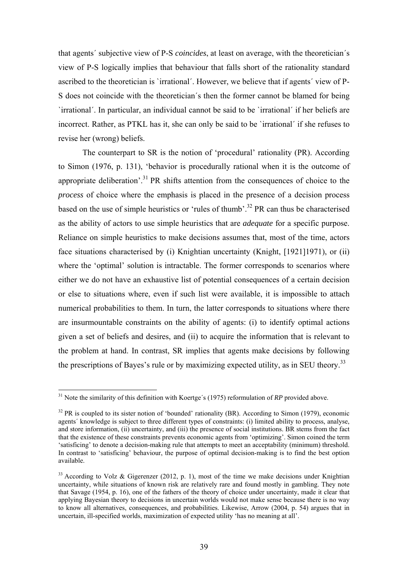that agents´ subjective view of P-S *coincides*, at least on average, with the theoretician´s view of P-S logically implies that behaviour that falls short of the rationality standard ascribed to the theoretician is `irrational´. However, we believe that if agents´ view of P-S does not coincide with the theoretician´s then the former cannot be blamed for being `irrational´. In particular, an individual cannot be said to be `irrational´ if her beliefs are incorrect. Rather, as PTKL has it, she can only be said to be `irrational´ if she refuses to revise her (wrong) beliefs.

The counterpart to SR is the notion of 'procedural' rationality (PR). According to Simon (1976, p. 131), 'behavior is procedurally rational when it is the outcome of appropriate deliberation'.31 PR shifts attention from the consequences of choice to the *process* of choice where the emphasis is placed in the presence of a decision process based on the use of simple heuristics or 'rules of thumb'.<sup>32</sup> PR can thus be characterised as the ability of actors to use simple heuristics that are *adequate* for a specific purpose. Reliance on simple heuristics to make decisions assumes that, most of the time, actors face situations characterised by (i) Knightian uncertainty (Knight, [1921]1971), or (ii) where the 'optimal' solution is intractable. The former corresponds to scenarios where either we do not have an exhaustive list of potential consequences of a certain decision or else to situations where, even if such list were available, it is impossible to attach numerical probabilities to them. In turn, the latter corresponds to situations where there are insurmountable constraints on the ability of agents: (i) to identify optimal actions given a set of beliefs and desires, and (ii) to acquire the information that is relevant to the problem at hand. In contrast, SR implies that agents make decisions by following the prescriptions of Bayes's rule or by maximizing expected utility, as in SEU theory.<sup>33</sup>

<u>.</u>

<sup>&</sup>lt;sup>31</sup> Note the similarity of this definition with Koertge's (1975) reformulation of *RP* provided above.

 $32$  PR is coupled to its sister notion of 'bounded' rationality (BR). According to Simon (1979), economic agents´ knowledge is subject to three different types of constraints: (i) limited ability to process, analyse, and store information, (ii) uncertainty, and (iii) the presence of social institutions. BR stems from the fact that the existence of these constraints prevents economic agents from 'optimizing'. Simon coined the term 'satisficing' to denote a decision-making rule that attempts to meet an acceptability (minimum) threshold. In contrast to 'satisficing' behaviour, the purpose of optimal decision-making is to find the best option available.

 $33$  According to Volz & Gigerenzer (2012, p. 1), most of the time we make decisions under Knightian uncertainty, while situations of known risk are relatively rare and found mostly in gambling. They note that Savage (1954, p. 16), one of the fathers of the theory of choice under uncertainty, made it clear that applying Bayesian theory to decisions in uncertain worlds would not make sense because there is no way to know all alternatives, consequences, and probabilities. Likewise, Arrow (2004, p. 54) argues that in uncertain, ill-specified worlds, maximization of expected utility 'has no meaning at all'.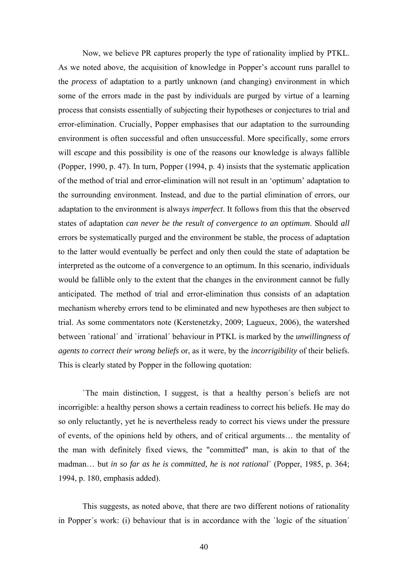Now, we believe PR captures properly the type of rationality implied by PTKL. As we noted above, the acquisition of knowledge in Popper's account runs parallel to the *process* of adaptation to a partly unknown (and changing) environment in which some of the errors made in the past by individuals are purged by virtue of a learning process that consists essentially of subjecting their hypotheses or conjectures to trial and error-elimination. Crucially, Popper emphasises that our adaptation to the surrounding environment is often successful and often unsuccessful. More specifically, some errors will *escape* and this possibility is one of the reasons our knowledge is always fallible (Popper, 1990, p. 47). In turn, Popper (1994, p. 4) insists that the systematic application of the method of trial and error-elimination will not result in an 'optimum' adaptation to the surrounding environment. Instead, and due to the partial elimination of errors, our adaptation to the environment is always *imperfect*. It follows from this that the observed states of adaptation *can never be the result of convergence to an optimum*. Should *all* errors be systematically purged and the environment be stable, the process of adaptation to the latter would eventually be perfect and only then could the state of adaptation be interpreted as the outcome of a convergence to an optimum. In this scenario, individuals would be fallible only to the extent that the changes in the environment cannot be fully anticipated. The method of trial and error-elimination thus consists of an adaptation mechanism whereby errors tend to be eliminated and new hypotheses are then subject to trial. As some commentators note (Kerstenetzky, 2009; Lagueux, 2006), the watershed between `rational´ and `irrational´ behaviour in PTKL is marked by the *unwillingness of agents to correct their wrong beliefs* or, as it were, by the *incorrigibility* of their beliefs. This is clearly stated by Popper in the following quotation:

 `The main distinction, I suggest, is that a healthy person´s beliefs are not incorrigible: a healthy person shows a certain readiness to correct his beliefs. He may do so only reluctantly, yet he is nevertheless ready to correct his views under the pressure of events, of the opinions held by others, and of critical arguments… the mentality of the man with definitely fixed views, the "committed" man, is akin to that of the madman… but *in so far as he is committed, he is not rational*´ (Popper, 1985, p. 364; 1994, p. 180, emphasis added).

 This suggests, as noted above, that there are two different notions of rationality in Popper´s work: (i) behaviour that is in accordance with the `logic of the situation´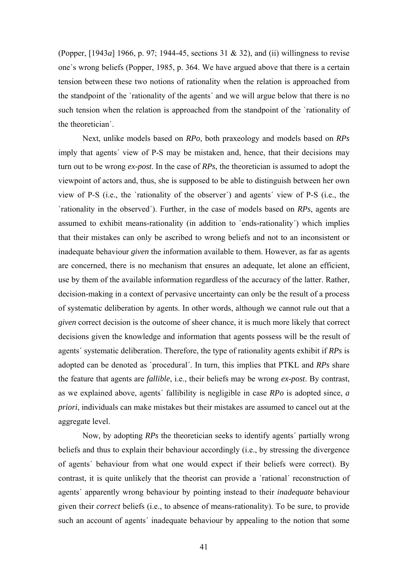(Popper, [1943*a*] 1966, p. 97; 1944-45, sections 31 & 32), and (ii) willingness to revise one´s wrong beliefs (Popper, 1985, p. 364. We have argued above that there is a certain tension between these two notions of rationality when the relation is approached from the standpoint of the `rationality of the agents´ and we will argue below that there is no such tension when the relation is approached from the standpoint of the `rationality of the theoretician´.

 Next, unlike models based on *RPo*, both praxeology and models based on *RPs* imply that agents´ view of P-S may be mistaken and, hence, that their decisions may turn out to be wrong *ex-post*. In the case of *RPs*, the theoretician is assumed to adopt the viewpoint of actors and, thus, she is supposed to be able to distinguish between her own view of P-S (i.e., the `rationality of the observer´) and agents´ view of P-S (i.e., the `rationality in the observed´). Further, in the case of models based on *RPs*, agents are assumed to exhibit means-rationality (in addition to `ends-rationality´) which implies that their mistakes can only be ascribed to wrong beliefs and not to an inconsistent or inadequate behaviour *given* the information available to them. However, as far as agents are concerned, there is no mechanism that ensures an adequate, let alone an efficient, use by them of the available information regardless of the accuracy of the latter. Rather, decision-making in a context of pervasive uncertainty can only be the result of a process of systematic deliberation by agents. In other words, although we cannot rule out that a *given* correct decision is the outcome of sheer chance, it is much more likely that correct decisions given the knowledge and information that agents possess will be the result of agents´ systematic deliberation. Therefore, the type of rationality agents exhibit if *RPs* is adopted can be denoted as `procedural´. In turn, this implies that PTKL and *RPs* share the feature that agents are *fallible*, i.e., their beliefs may be wrong *ex-post*. By contrast, as we explained above, agents´ fallibility is negligible in case *RPo* is adopted since, *a priori*, individuals can make mistakes but their mistakes are assumed to cancel out at the aggregate level.

 Now, by adopting *RPs* the theoretician seeks to identify agents´ partially wrong beliefs and thus to explain their behaviour accordingly (i.e., by stressing the divergence of agents´ behaviour from what one would expect if their beliefs were correct). By contrast, it is quite unlikely that the theorist can provide a `rational´ reconstruction of agents´ apparently wrong behaviour by pointing instead to their *inadequate* behaviour given their *correct* beliefs (i.e., to absence of means-rationality). To be sure, to provide such an account of agents' inadequate behaviour by appealing to the notion that some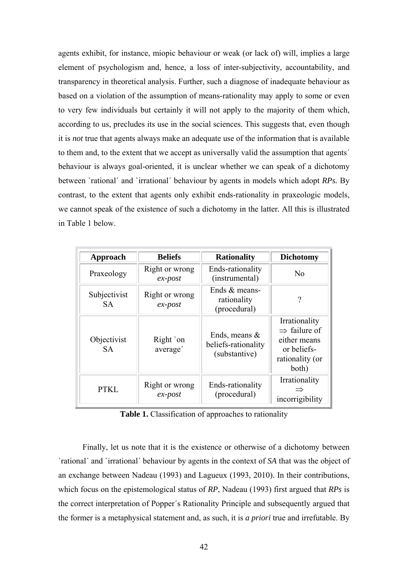agents exhibit, for instance, miopic behaviour or weak (or lack of) will, implies a large element of psychologism and, hence, a loss of inter-subjectivity, accountability, and transparency in theoretical analysis. Further, such a diagnose of inadequate behaviour as based on a violation of the assumption of means-rationality may apply to some or even to very few individuals but certainly it will not apply to the majority of them which, according to us, precludes its use in the social sciences. This suggests that, even though it is *not* true that agents always make an adequate use of the information that is available to them and, to the extent that we accept as universally valid the assumption that agents´ behaviour is always goal-oriented, it is unclear whether we can speak of a dichotomy between `rational´ and `irrational´ behaviour by agents in models which adopt *RPs.* By contrast, to the extent that agents only exhibit ends-rationality in praxeologic models, we cannot speak of the existence of such a dichotomy in the latter*.* All this is illustrated in Table 1 below.

| Approach                  | <b>Beliefs</b>               | <b>Rationality</b>                                       | <b>Dichotomy</b>                                                                                     |
|---------------------------|------------------------------|----------------------------------------------------------|------------------------------------------------------------------------------------------------------|
| Praxeology                | Right or wrong<br>$ex$ -post | Ends-rationality<br>(instrumental)                       | No                                                                                                   |
| Subjectivist<br><b>SA</b> | Right or wrong<br>$ex$ -post | Ends $&$ means-<br>rationality<br>(procedural)           | 9                                                                                                    |
| Objectivist<br><b>SA</b>  | Right `on<br>average'        | Ends, means $\&$<br>beliefs-rationality<br>(substantive) | Irrationality<br>$\Rightarrow$ failure of<br>either means<br>or beliefs-<br>rationality (or<br>both) |
| <b>PTKL</b>               | Right or wrong<br>$ex$ -post | Ends-rationality<br>(procedural)                         | Irrationality<br>incorrigibility                                                                     |

Table 1. Classification of approaches to rationality

Finally, let us note that it is the existence or otherwise of a dichotomy between `rational´ and `irrational´ behaviour by agents in the context of *SA* that was the object of an exchange between Nadeau (1993) and Lagueux (1993, 2010). In their contributions, which focus on the epistemological status of *RP*, Nadeau (1993) first argued that *RPs* is the correct interpretation of Popper´s Rationality Principle and subsequently argued that the former is a metaphysical statement and, as such, it is *a priori* true and irrefutable. By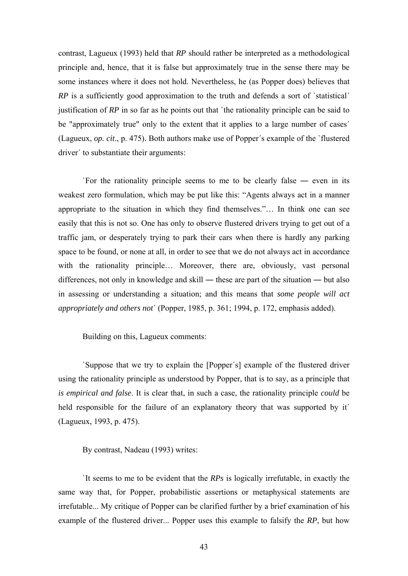contrast, Lagueux (1993) held that *RP* should rather be interpreted as a methodological principle and, hence, that it is false but approximately true in the sense there may be some instances where it does not hold. Nevertheless, he (as Popper does) believes that *RP* is a sufficiently good approximation to the truth and defends a sort of 'statistical' justification of *RP* in so far as he points out that 'the rationality principle can be said to be "approximately true" only to the extent that it applies to a large number of cases' (Lagueux, *op. cit*., p. 475). Both authors make use of Popper´s example of the `flustered driver´ to substantiate their arguments:

 `For the rationality principle seems to me to be clearly false ― even in its weakest zero formulation, which may be put like this: "Agents always act in a manner appropriate to the situation in which they find themselves."… In think one can see easily that this is not so. One has only to observe flustered drivers trying to get out of a traffic jam, or desperately trying to park their cars when there is hardly any parking space to be found, or none at all, in order to see that we do not always act in accordance with the rationality principle... Moreover, there are, obviously, vast personal differences, not only in knowledge and skill ― these are part of the situation ― but also in assessing or understanding a situation; and this means that *some people will act appropriately and others not*´ (Popper, 1985, p. 361; 1994, p. 172, emphasis added).

Building on this, Lagueux comments:

 `Suppose that we try to explain the [Popper´s] example of the flustered driver using the rationality principle as understood by Popper, that is to say, as a principle that *is empirical and false*. It is clear that, in such a case, the rationality principle *could* be held responsible for the failure of an explanatory theory that was supported by it (Lagueux, 1993, p. 475).

By contrast, Nadeau (1993) writes:

 `It seems to me to be evident that the *RPs* is logically irrefutable, in exactly the same way that, for Popper, probabilistic assertions or metaphysical statements are irrefutable... My critique of Popper can be clarified further by a brief examination of his example of the flustered driver... Popper uses this example to falsify the *RP*, but how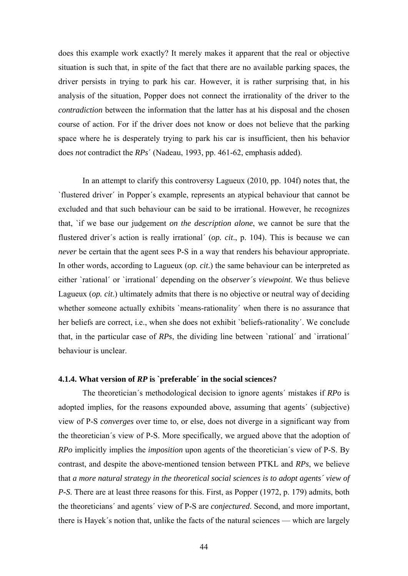does this example work exactly? It merely makes it apparent that the real or objective situation is such that, in spite of the fact that there are no available parking spaces, the driver persists in trying to park his car. However, it is rather surprising that, in his analysis of the situation, Popper does not connect the irrationality of the driver to the *contradiction* between the information that the latter has at his disposal and the chosen course of action. For if the driver does not know or does not believe that the parking space where he is desperately trying to park his car is insufficient, then his behavior does *not* contradict the *RPs*´ (Nadeau, 1993, pp. 461-62, emphasis added).

In an attempt to clarify this controversy Lagueux (2010, pp. 104f) notes that, the `flustered driver´ in Popper´s example, represents an atypical behaviour that cannot be excluded and that such behaviour can be said to be irrational. However, he recognizes that, `if we base our judgement *on the description alone*, we cannot be sure that the flustered driver´s action is really irrational´ (*op. cit*., p. 104). This is because we can *never* be certain that the agent sees P-S in a way that renders his behaviour appropriate. In other words, according to Lagueux (*op. cit*.) the same behaviour can be interpreted as either `rational´ or `irrational´ depending on the *observer´s viewpoint*. We thus believe Lagueux (*op. cit*.) ultimately admits that there is no objective or neutral way of deciding whether someone actually exhibits `means-rationality' when there is no assurance that her beliefs are correct, i.e., when she does not exhibit 'beliefs-rationality'. We conclude that, in the particular case of *RPs*, the dividing line between `rational´ and `irrational´ behaviour is unclear.

# **4.1.4. What version of** *RP* **is `preferable´ in the social sciences?**

The theoretician´s methodological decision to ignore agents´ mistakes if *RPo* is adopted implies, for the reasons expounded above, assuming that agents´ (subjective) view of P-S *converges* over time to, or else, does not diverge in a significant way from the theoretician´s view of P-S. More specifically, we argued above that the adoption of *RPo* implicitly implies the *imposition* upon agents of the theoretician´s view of P-S. By contrast, and despite the above-mentioned tension between PTKL and *RPs*, we believe that *a more natural strategy in the theoretical social sciences is to adopt agents´ view of P-S*. There are at least three reasons for this. First, as Popper (1972, p. 179) admits, both the theoreticians´ and agents´ view of P-S are *conjectured*. Second, and more important, there is Hayek´s notion that, unlike the facts of the natural sciences — which are largely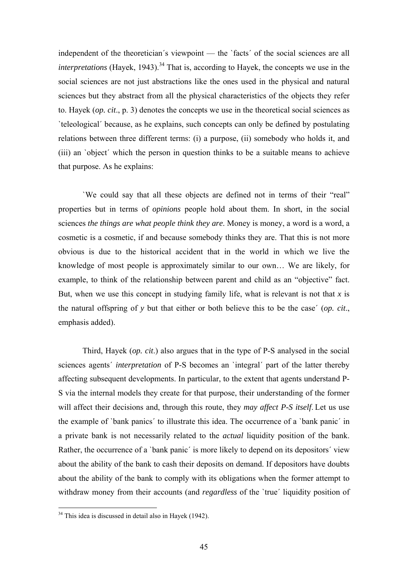independent of the theoretician´s viewpoint — the `facts´ of the social sciences are all *interpretations* (Hayek, 1943).<sup>34</sup> That is, according to Hayek, the concepts we use in the social sciences are not just abstractions like the ones used in the physical and natural sciences but they abstract from all the physical characteristics of the objects they refer to. Hayek (*op. cit*., p. 3) denotes the concepts we use in the theoretical social sciences as `teleological´ because, as he explains, such concepts can only be defined by postulating relations between three different terms: (i) a purpose, (ii) somebody who holds it, and (iii) an `object´ which the person in question thinks to be a suitable means to achieve that purpose. As he explains:

`We could say that all these objects are defined not in terms of their "real" properties but in terms of *opinions* people hold about them. In short, in the social sciences *the things are what people think they are*. Money is money, a word is a word, a cosmetic is a cosmetic, if and because somebody thinks they are. That this is not more obvious is due to the historical accident that in the world in which we live the knowledge of most people is approximately similar to our own… We are likely, for example, to think of the relationship between parent and child as an "objective" fact. But, when we use this concept in studying family life, what is relevant is not that  $x$  is the natural offspring of *y* but that either or both believe this to be the case´ (*op. cit*., emphasis added).

Third, Hayek (*op. cit*.) also argues that in the type of P-S analysed in the social sciences agents´ *interpretation* of P-S becomes an `integral´ part of the latter thereby affecting subsequent developments. In particular, to the extent that agents understand P-S via the internal models they create for that purpose, their understanding of the former will affect their decisions and, through this route, they *may affect P-S itself*. Let us use the example of `bank panics´ to illustrate this idea. The occurrence of a `bank panic´ in a private bank is not necessarily related to the *actual* liquidity position of the bank. Rather, the occurrence of a 'bank panic' is more likely to depend on its depositors' view about the ability of the bank to cash their deposits on demand. If depositors have doubts about the ability of the bank to comply with its obligations when the former attempt to withdraw money from their accounts (and *regardless* of the 'true' liquidity position of

<sup>34</sup> This idea is discussed in detail also in Hayek (1942).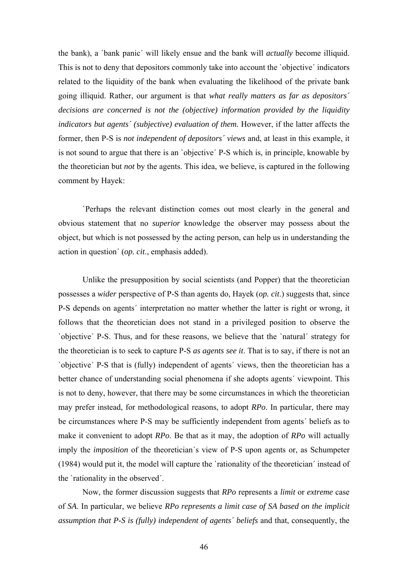the bank), a `bank panic´ will likely ensue and the bank will *actually* become illiquid. This is not to deny that depositors commonly take into account the `objective´ indicators related to the liquidity of the bank when evaluating the likelihood of the private bank going illiquid. Rather, our argument is that *what really matters as far as depositors´ decisions are concerned is not the (objective) information provided by the liquidity indicators but agents´ (subjective) evaluation of them.* However, if the latter affects the former, then P-S is *not independent of depositors´ views* and, at least in this example, it is not sound to argue that there is an `objective´ P-S which is, in principle, knowable by the theoretician but *not* by the agents. This idea, we believe, is captured in the following comment by Hayek:

`Perhaps the relevant distinction comes out most clearly in the general and obvious statement that no *superior* knowledge the observer may possess about the object, but which is not possessed by the acting person, can help us in understanding the action in question´ (*op. cit*., emphasis added).

Unlike the presupposition by social scientists (and Popper) that the theoretician possesses a *wider* perspective of P-S than agents do, Hayek (*op. cit*.) suggests that, since P-S depends on agents´ interpretation no matter whether the latter is right or wrong, it follows that the theoretician does not stand in a privileged position to observe the `objective´ P-S. Thus, and for these reasons, we believe that the `natural´ strategy for the theoretician is to seek to capture P-S *as agents see it*. That is to say, if there is not an `objective´ P-S that is (fully) independent of agents´ views, then the theoretician has a better chance of understanding social phenomena if she adopts agents´ viewpoint. This is not to deny, however, that there may be some circumstances in which the theoretician may prefer instead, for methodological reasons, to adopt *RPo*. In particular, there may be circumstances where P-S may be sufficiently independent from agents´ beliefs as to make it convenient to adopt *RPo*. Be that as it may, the adoption of *RPo* will actually imply the *imposition* of the theoretician´s view of P-S upon agents or, as Schumpeter (1984) would put it, the model will capture the `rationality of the theoretician´ instead of the `rationality in the observed´.

Now, the former discussion suggests that *RPo* represents a *limit* or *extreme* case of *SA*. In particular, we believe *RPo represents a limit case of SA based on the implicit assumption that P-S is (fully) independent of agents´ beliefs* and that, consequently, the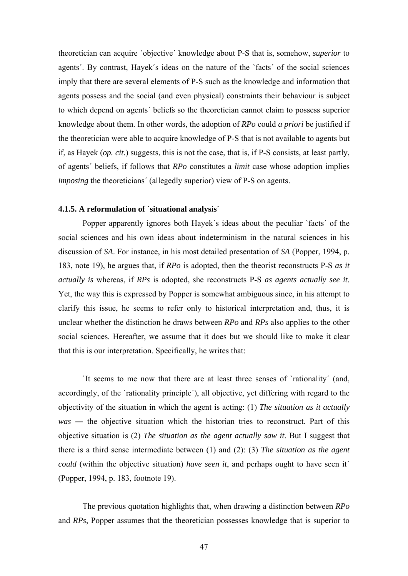theoretician can acquire `objective´ knowledge about P-S that is, somehow, *superior* to agents´. By contrast, Hayek´s ideas on the nature of the `facts´ of the social sciences imply that there are several elements of P-S such as the knowledge and information that agents possess and the social (and even physical) constraints their behaviour is subject to which depend on agents´ beliefs so the theoretician cannot claim to possess superior knowledge about them. In other words, the adoption of *RPo* could *a priori* be justified if the theoretician were able to acquire knowledge of P-S that is not available to agents but if, as Hayek (*op. cit*.) suggests, this is not the case, that is, if P-S consists, at least partly, of agents´ beliefs, if follows that *RPo* constitutes a *limit* case whose adoption implies *imposing* the theoreticians' (allegedly superior) view of P-S on agents.

### **4.1.5. A reformulation of `situational analysis´**

Popper apparently ignores both Hayek´s ideas about the peculiar `facts´ of the social sciences and his own ideas about indeterminism in the natural sciences in his discussion of *SA*. For instance, in his most detailed presentation of *SA* (Popper, 1994, p. 183, note 19), he argues that, if *RPo* is adopted, then the theorist reconstructs P-S *as it actually is* whereas, if *RPs* is adopted, she reconstructs P-S *as agents actually see it*. Yet, the way this is expressed by Popper is somewhat ambiguous since, in his attempt to clarify this issue, he seems to refer only to historical interpretation and, thus, it is unclear whether the distinction he draws between *RPo* and *RPs* also applies to the other social sciences. Hereafter, we assume that it does but we should like to make it clear that this is our interpretation. Specifically, he writes that:

`It seems to me now that there are at least three senses of `rationality´ (and, accordingly, of the `rationality principle´), all objective, yet differing with regard to the objectivity of the situation in which the agent is acting: (1) *The situation as it actually was* ― the objective situation which the historian tries to reconstruct. Part of this objective situation is (2) *The situation as the agent actually saw it*. But I suggest that there is a third sense intermediate between (1) and (2): (3) *The situation as the agent could* (within the objective situation) *have seen it*, and perhaps ought to have seen it´ (Popper, 1994, p. 183, footnote 19).

The previous quotation highlights that, when drawing a distinction between *RPo* and *RPs*, Popper assumes that the theoretician possesses knowledge that is superior to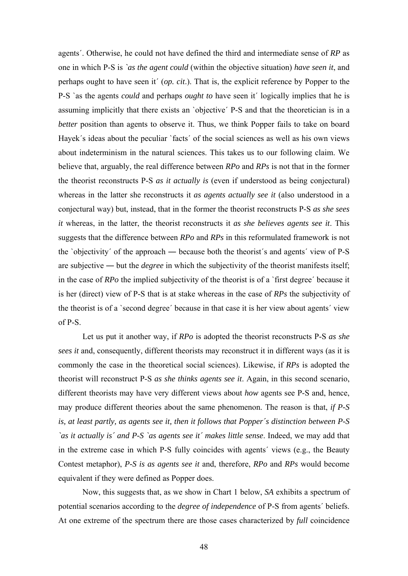agents´. Otherwise, he could not have defined the third and intermediate sense of *RP* as one in which P-S is *`as the agent could* (within the objective situation) *have seen it*, and perhaps ought to have seen it´ (*op. cit*.). That is, the explicit reference by Popper to the P-S `as the agents *could* and perhaps *ought to* have seen it´ logically implies that he is assuming implicitly that there exists an `objective´ P-S and that the theoretician is in a *better* position than agents to observe it. Thus, we think Popper fails to take on board Hayek's ideas about the peculiar 'facts' of the social sciences as well as his own views about indeterminism in the natural sciences. This takes us to our following claim. We believe that, arguably, the real difference between *RPo* and *RPs* is not that in the former the theorist reconstructs P-S *as it actually is* (even if understood as being conjectural) whereas in the latter she reconstructs it *as agents actually see it* (also understood in a conjectural way) but, instead, that in the former the theorist reconstructs P-S *as she sees it* whereas, in the latter, the theorist reconstructs it *as she believes agents see it*. This suggests that the difference between *RPo* and *RPs* in this reformulated framework is not the `objectivity´ of the approach ― because both the theorist´s and agents´ view of P-S are subjective ― but the *degree* in which the subjectivity of the theorist manifests itself; in the case of *RPo* the implied subjectivity of the theorist is of a `first degree´ because it is her (direct) view of P-S that is at stake whereas in the case of *RPs* the subjectivity of the theorist is of a `second degree´ because in that case it is her view about agents´ view of P-S.

Let us put it another way, if *RPo* is adopted the theorist reconstructs P-S *as she sees it* and, consequently, different theorists may reconstruct it in different ways (as it is commonly the case in the theoretical social sciences). Likewise, if *RPs* is adopted the theorist will reconstruct P-S *as she thinks agents see it*. Again, in this second scenario, different theorists may have very different views about *how* agents see P-S and, hence, may produce different theories about the same phenomenon. The reason is that, *if P-S is, at least partly, as agents see it, then it follows that Popper´s distinction between P-S `as it actually is´ and P-S `as agents see it´ makes little sense*. Indeed, we may add that in the extreme case in which P-S fully coincides with agents´ views (e.g., the Beauty Contest metaphor), *P-S is as agents see it* and, therefore, *RPo* and *RPs* would become equivalent if they were defined as Popper does.

Now, this suggests that, as we show in Chart 1 below, *SA* exhibits a spectrum of potential scenarios according to the *degree of independence* of P-S from agents´ beliefs. At one extreme of the spectrum there are those cases characterized by *full* coincidence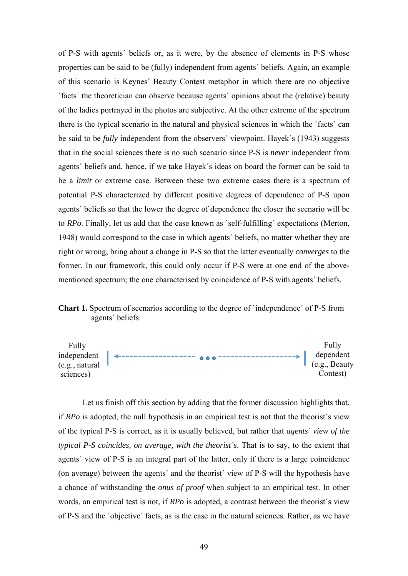of P-S with agents´ beliefs or, as it were, by the absence of elements in P-S whose properties can be said to be (fully) independent from agents´ beliefs. Again, an example of this scenario is Keynes´ Beauty Contest metaphor in which there are no objective `facts´ the theoretician can observe because agents´ opinions about the (relative) beauty of the ladies portrayed in the photos are subjective. At the other extreme of the spectrum there is the typical scenario in the natural and physical sciences in which the `facts´ can be said to be *fully* independent from the observers´ viewpoint. Hayek´s (1943) suggests that in the social sciences there is no such scenario since P-S is *never* independent from agents´ beliefs and, hence, if we take Hayek´s ideas on board the former can be said to be a *limit* or extreme case. Between these two extreme cases there is a spectrum of potential P-S characterized by different positive degrees of dependence of P-S upon agents´ beliefs so that the lower the degree of dependence the closer the scenario will be to *RPo*. Finally, let us add that the case known as `self-fulfilling´ expectations (Merton, 1948) would correspond to the case in which agents´ beliefs, no matter whether they are right or wrong, bring about a change in P-S so that the latter eventually *converges* to the former. In our framework, this could only occur if P-S were at one end of the abovementioned spectrum; the one characterised by coincidence of P-S with agents´ beliefs.





Let us finish off this section by adding that the former discussion highlights that, if *RPo* is adopted, the null hypothesis in an empirical test is not that the theorist´s view of the typical P-S is correct, as it is usually believed, but rather that *agents´ view of the typical P-S coincides, on average, with the theorist´s*. That is to say, to the extent that agents´ view of P-S is an integral part of the latter, only if there is a large coincidence (on average) between the agents´ and the theorist´ view of P-S will the hypothesis have a chance of withstanding the *onus of proof* when subject to an empirical test. In other words, an empirical test is not, if *RPo* is adopted, a contrast between the theorist´s view of P-S and the `objective´ facts, as is the case in the natural sciences. Rather, as we have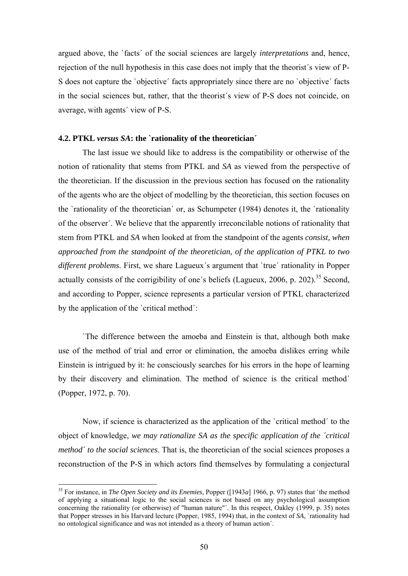argued above, the `facts´ of the social sciences are largely *interpretations* and, hence, rejection of the null hypothesis in this case does not imply that the theorist´s view of P-S does not capture the `objective´ facts appropriately since there are no `objective´ facts in the social sciences but, rather, that the theorist´s view of P-S does not coincide, on average, with agents´ view of P-S.

### **4.2. PTKL** *versus SA***: the `rationality of the theoretician´**

The last issue we should like to address is the compatibility or otherwise of the notion of rationality that stems from PTKL and *SA* as viewed from the perspective of the theoretician. If the discussion in the previous section has focused on the rationality of the agents who are the object of modelling by the theoretician, this section focuses on the `rationality of the theoretician´ or, as Schumpeter (1984) denotes it, the `rationality of the observer´. We believe that the apparently irreconcilable notions of rationality that stem from PTKL and *SA* when looked at from the standpoint of the agents *consist, when approached from the standpoint of the theoretician, of the application of PTKL to two different problems*. First, we share Lagueux´s argument that `true´ rationality in Popper actually consists of the corrigibility of one's beliefs (Lagueux, 2006, p. 202).<sup>35</sup> Second, and according to Popper, science represents a particular version of PTKL characterized by the application of the `critical method´:

 `The difference between the amoeba and Einstein is that, although both make use of the method of trial and error or elimination, the amoeba dislikes erring while Einstein is intrigued by it: he consciously searches for his errors in the hope of learning by their discovery and elimination. The method of science is the critical method´ (Popper, 1972, p. 70).

 Now, if science is characterized as the application of the `critical method´ to the object of knowledge, *we may rationalize SA as the specific application of the ´critical method´ to the social sciences*. That is, the theoretician of the social sciences proposes a reconstruction of the P-S in which actors find themselves by formulating a conjectural

<sup>35</sup> For instance, in *The Open Society and its Enemies*, Popper ([1943*a*] 1966, p. 97) states that `the method of applying a situational logic to the social sciences is not based on any psychological assumption concerning the rationality (or otherwise) of "human nature"´. In this respect, Oakley (1999, p. 35) notes that Popper stresses in his Harvard lecture (Popper, 1985, 1994) that, in the context of *SA*, `rationality had no ontological significance and was not intended as a theory of human action´.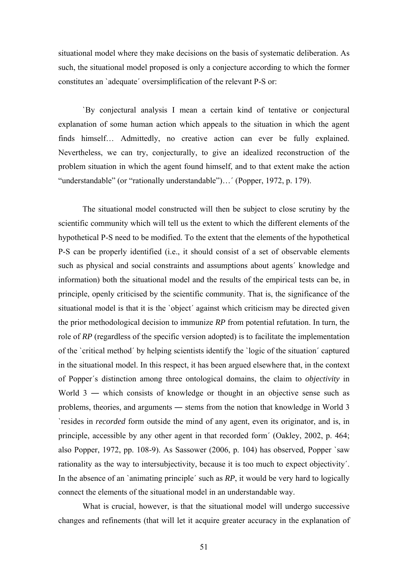situational model where they make decisions on the basis of systematic deliberation. As such, the situational model proposed is only a conjecture according to which the former constitutes an `adequate´ oversimplification of the relevant P-S or:

`By conjectural analysis I mean a certain kind of tentative or conjectural explanation of some human action which appeals to the situation in which the agent finds himself… Admittedly, no creative action can ever be fully explained. Nevertheless, we can try, conjecturally, to give an idealized reconstruction of the problem situation in which the agent found himself, and to that extent make the action "understandable" (or "rationally understandable")…´ (Popper, 1972, p. 179).

The situational model constructed will then be subject to close scrutiny by the scientific community which will tell us the extent to which the different elements of the hypothetical P-S need to be modified. To the extent that the elements of the hypothetical P-S can be properly identified (i.e., it should consist of a set of observable elements such as physical and social constraints and assumptions about agents´ knowledge and information) both the situational model and the results of the empirical tests can be, in principle, openly criticised by the scientific community. That is, the significance of the situational model is that it is the `object´ against which criticism may be directed given the prior methodological decision to immunize *RP* from potential refutation. In turn, the role of *RP* (regardless of the specific version adopted) is to facilitate the implementation of the `critical method´ by helping scientists identify the `logic of the situation´ captured in the situational model. In this respect, it has been argued elsewhere that, in the context of Popper´s distinction among three ontological domains, the claim to *objectivity* in World 3 — which consists of knowledge or thought in an objective sense such as problems, theories, and arguments ― stems from the notion that knowledge in World 3 `resides in *recorded* form outside the mind of any agent, even its originator, and is, in principle, accessible by any other agent in that recorded form´ (Oakley, 2002, p. 464; also Popper, 1972, pp. 108-9). As Sassower (2006, p. 104) has observed, Popper `saw rationality as the way to intersubjectivity, because it is too much to expect objectivity´. In the absence of an `animating principle´ such as *RP*, it would be very hard to logically connect the elements of the situational model in an understandable way.

 What is crucial, however, is that the situational model will undergo successive changes and refinements (that will let it acquire greater accuracy in the explanation of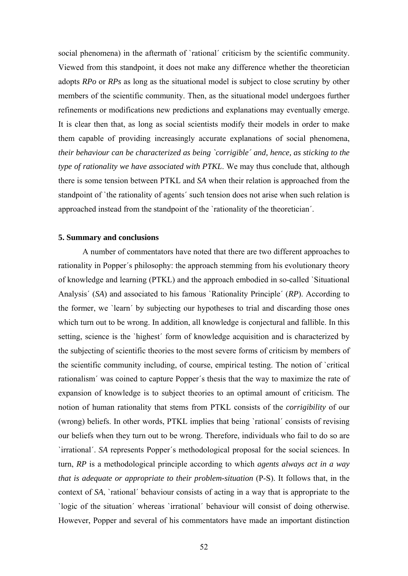social phenomena) in the aftermath of 'rational' criticism by the scientific community. Viewed from this standpoint, it does not make any difference whether the theoretician adopts *RPo* or *RPs* as long as the situational model is subject to close scrutiny by other members of the scientific community. Then, as the situational model undergoes further refinements or modifications new predictions and explanations may eventually emerge. It is clear then that, as long as social scientists modify their models in order to make them capable of providing increasingly accurate explanations of social phenomena, *their behaviour can be characterized as being `corrigible´ and, hence, as sticking to the type of rationality we have associated with PTKL*. We may thus conclude that, although there is some tension between PTKL and *SA* when their relation is approached from the standpoint of `the rationality of agents´ such tension does not arise when such relation is approached instead from the standpoint of the `rationality of the theoretician´.

### **5. Summary and conclusions**

A number of commentators have noted that there are two different approaches to rationality in Popper´s philosophy: the approach stemming from his evolutionary theory of knowledge and learning (PTKL) and the approach embodied in so-called `Situational Analysis´ (*SA*) and associated to his famous `Rationality Principle´ (*RP*). According to the former, we `learn´ by subjecting our hypotheses to trial and discarding those ones which turn out to be wrong. In addition, all knowledge is conjectural and fallible. In this setting, science is the `highest´ form of knowledge acquisition and is characterized by the subjecting of scientific theories to the most severe forms of criticism by members of the scientific community including, of course, empirical testing. The notion of `critical rationalism´ was coined to capture Popper´s thesis that the way to maximize the rate of expansion of knowledge is to subject theories to an optimal amount of criticism. The notion of human rationality that stems from PTKL consists of the *corrigibility* of our (wrong) beliefs. In other words, PTKL implies that being `rational´ consists of revising our beliefs when they turn out to be wrong. Therefore, individuals who fail to do so are `irrational´. *SA* represents Popper´s methodological proposal for the social sciences. In turn, *RP* is a methodological principle according to which *agents always act in a way that is adequate or appropriate to their problem-situation* (P-S). It follows that, in the context of *SA*, `rational´ behaviour consists of acting in a way that is appropriate to the `logic of the situation´ whereas `irrational´ behaviour will consist of doing otherwise. However, Popper and several of his commentators have made an important distinction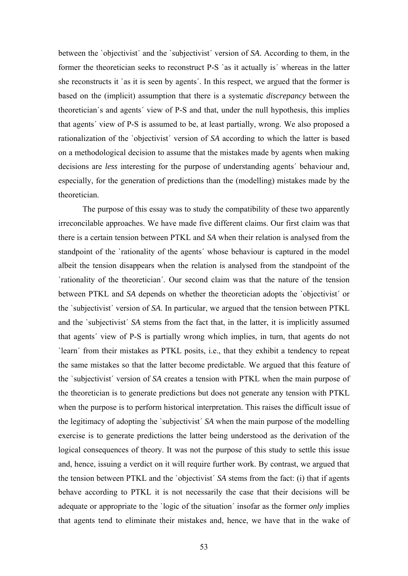between the `objectivist´ and the `subjectivist´ version of *SA*. According to them, in the former the theoretician seeks to reconstruct P-S `as it actually is´ whereas in the latter she reconstructs it `as it is seen by agents´. In this respect, we argued that the former is based on the (implicit) assumption that there is a systematic *discrepancy* between the theoretician´s and agents´ view of P-S and that, under the null hypothesis, this implies that agents´ view of P-S is assumed to be, at least partially, wrong. We also proposed a rationalization of the `objectivist´ version of *SA* according to which the latter is based on a methodological decision to assume that the mistakes made by agents when making decisions are *less* interesting for the purpose of understanding agents´ behaviour and, especially, for the generation of predictions than the (modelling) mistakes made by the theoretician.

The purpose of this essay was to study the compatibility of these two apparently irreconcilable approaches. We have made five different claims. Our first claim was that there is a certain tension between PTKL and *SA* when their relation is analysed from the standpoint of the `rationality of the agents´ whose behaviour is captured in the model albeit the tension disappears when the relation is analysed from the standpoint of the `rationality of the theoretician´. Our second claim was that the nature of the tension between PTKL and *SA* depends on whether the theoretician adopts the `objectivist´ or the `subjectivist´ version of *SA*. In particular, we argued that the tension between PTKL and the `subjectivist´ *SA* stems from the fact that, in the latter, it is implicitly assumed that agents´ view of P-S is partially wrong which implies, in turn, that agents do not `learn´ from their mistakes as PTKL posits, i.e., that they exhibit a tendency to repeat the same mistakes so that the latter become predictable. We argued that this feature of the `subjectivist´ version of *SA* creates a tension with PTKL when the main purpose of the theoretician is to generate predictions but does not generate any tension with PTKL when the purpose is to perform historical interpretation. This raises the difficult issue of the legitimacy of adopting the `subjectivist´ *SA* when the main purpose of the modelling exercise is to generate predictions the latter being understood as the derivation of the logical consequences of theory. It was not the purpose of this study to settle this issue and, hence, issuing a verdict on it will require further work. By contrast, we argued that the tension between PTKL and the `objectivist´ *SA* stems from the fact: (i) that if agents behave according to PTKL it is not necessarily the case that their decisions will be adequate or appropriate to the `logic of the situation´ insofar as the former *only* implies that agents tend to eliminate their mistakes and, hence, we have that in the wake of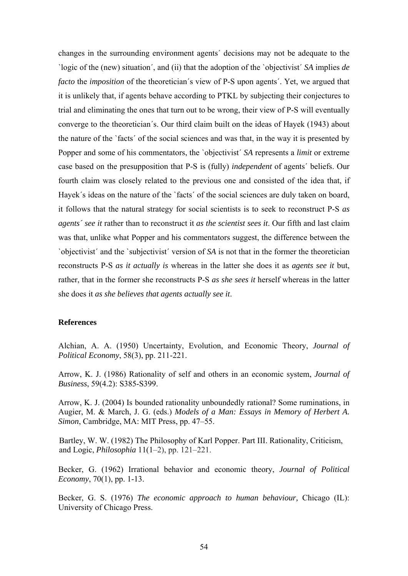changes in the surrounding environment agents´ decisions may not be adequate to the `logic of the (new) situation´, and (ii) that the adoption of the `objectivist´ *SA* implies *de facto* the *imposition* of the theoretician´s view of P-S upon agents´. Yet, we argued that it is unlikely that, if agents behave according to PTKL by subjecting their conjectures to trial and eliminating the ones that turn out to be wrong, their view of P-S will eventually converge to the theoretician´s. Our third claim built on the ideas of Hayek (1943) about the nature of the `facts´ of the social sciences and was that, in the way it is presented by Popper and some of his commentators, the `objectivist´ *SA* represents a *limit* or extreme case based on the presupposition that P-S is (fully) *independent* of agents´ beliefs. Our fourth claim was closely related to the previous one and consisted of the idea that, if Hayek's ideas on the nature of the 'facts' of the social sciences are duly taken on board, it follows that the natural strategy for social scientists is to seek to reconstruct P-S *as agents´ see it* rather than to reconstruct it *as the scientist sees it*. Our fifth and last claim was that, unlike what Popper and his commentators suggest, the difference between the `objectivist´ and the `subjectivist´ version of *SA* is not that in the former the theoretician reconstructs P-S *as it actually is* whereas in the latter she does it as *agents see it* but, rather, that in the former she reconstructs P-S *as she sees it* herself whereas in the latter she does it *as she believes that agents actually see it*.

### **References**

Alchian, A. A. (1950) Uncertainty, Evolution, and Economic Theory, *Journal of Political Economy*, 58(3), pp. 211-221.

Arrow, K. J. (1986) Rationality of self and others in an economic system, *Journal of Business*, 59(4.2): S385-S399.

Arrow, K. J. (2004) Is bounded rationality unboundedly rational? Some ruminations, in Augier, M. & March, J. G. (eds.) *Models of a Man: Essays in Memory of Herbert A. Simon*, Cambridge, MA: MIT Press, pp. 47–55.

Bartley, W. W. (1982) The Philosophy of Karl Popper. Part III. Rationality, Criticism, and Logic, *Philosophia* 11(1–2), pp. 121–221.

Becker, G. (1962) Irrational behavior and economic theory, *Journal of Political Economy*, 70(1), pp. 1-13.

Becker, G. S. (1976) *The economic approach to human behaviour,* Chicago (IL): University of Chicago Press.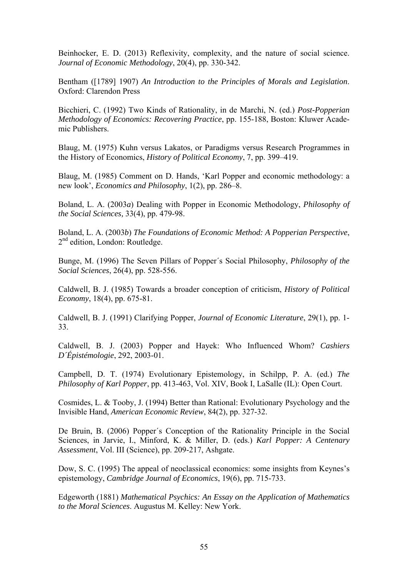Beinhocker, E. D. (2013) Reflexivity, complexity, and the nature of social science. *Journal of Economic Methodology*, 20(4), pp. 330-342.

Bentham ([1789] 1907) *An Introduction to the Principles of Morals and Legislation*. Oxford: Clarendon Press

Bicchieri, C. (1992) Two Kinds of Rationality, in de Marchi, N. (ed.) *Post-Popperian Methodology of Economics: Recovering Practice*, pp. 155-188, Boston: Kluwer Academic Publishers.

Blaug, M. (1975) Kuhn versus Lakatos, or Paradigms versus Research Programmes in the History of Economics, *History of Political Economy*, 7, pp. 399–419.

Blaug, M. (1985) Comment on D. Hands, 'Karl Popper and economic methodology: a new look', *Economics and Philosophy*, 1(2), pp. 286–8.

Boland, L. A. (2003*a*) Dealing with Popper in Economic Methodology, *Philosophy of the Social Sciences,* 33(4), pp. 479-98.

Boland, L. A. (2003*b*) *The Foundations of Economic Method: A Popperian Perspective*, 2<sup>nd</sup> edition, London: Routledge.

Bunge, M. (1996) The Seven Pillars of Popper´s Social Philosophy, *Philosophy of the Social Sciences*, 26(4), pp. 528-556.

Caldwell, B. J. (1985) Towards a broader conception of criticism, *History of Political Economy*, 18(4), pp. 675-81.

Caldwell, B. J. (1991) Clarifying Popper, *Journal of Economic Literature*, 29(1), pp. 1- 33.

Caldwell, B. J. (2003) Popper and Hayek: Who Influenced Whom? *Cashiers D´Épistémologie*, 292, 2003-01.

Campbell, D. T. (1974) Evolutionary Epistemology, in Schilpp, P. A. (ed.) *The Philosophy of Karl Popper*, pp. 413-463, Vol. XIV, Book I, LaSalle (IL): Open Court.

Cosmides, L. & Tooby, J. (1994) Better than Rational: Evolutionary Psychology and the Invisible Hand, *American Economic Review*, 84(2), pp. 327-32.

De Bruin, B. (2006) Popper´s Conception of the Rationality Principle in the Social Sciences, in Jarvie, I., Minford, K. & Miller, D. (eds.) *Karl Popper: A Centenary Assessment*, Vol. III (Science), pp. 209-217, Ashgate.

Dow, S. C. (1995) The appeal of neoclassical economics: some insights from Keynes's epistemology, *Cambridge Journal of Economics*, 19(6), pp. 715-733.

Edgeworth (1881) *Mathematical Psychics: An Essay on the Application of Mathematics to the Moral Sciences*. Augustus M. Kelley: New York.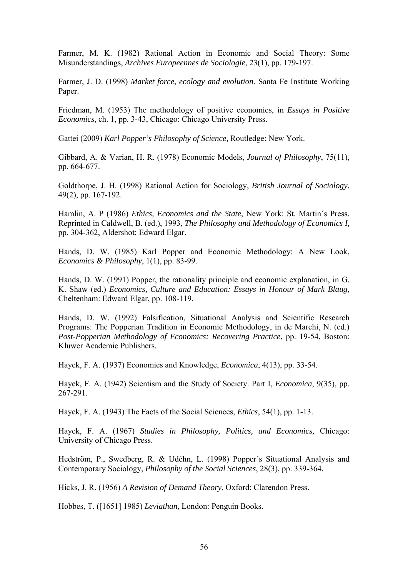Farmer, M. K. (1982) Rational Action in Economic and Social Theory: Some Misunderstandings, *Archives Europeennes de Sociologie*, 23(1), pp. 179-197.

Farmer, J. D. (1998) *Market force, ecology and evolution*. Santa Fe Institute Working Paper.

Friedman, M. (1953) The methodology of positive economics, in *Essays in Positive Economics*, ch. 1, pp. 3-43, Chicago: Chicago University Press.

Gattei (2009) *Karl Popper's Philosophy of Science,* Routledge: New York.

Gibbard, A. & Varian, H. R. (1978) Economic Models, *Journal of Philosophy*, 75(11), pp. 664-677.

Goldthorpe, J. H. (1998) Rational Action for Sociology, *British Journal of Sociology*, 49(2), pp. 167-192.

Hamlin, A. P (1986) *Ethics, Economics and the State*, New York: St. Martin´s Press. Reprinted in Caldwell, B. (ed.), 1993, *The Philosophy and Methodology of Economics I,* pp. 304-362, Aldershot: Edward Elgar.

Hands, D. W. (1985) Karl Popper and Economic Methodology: A New Look, *Economics & Philosophy*, 1(1), pp. 83-99.

Hands, D. W. (1991) Popper, the rationality principle and economic explanation, in G. K. Shaw (ed.) *Economics, Culture and Education: Essays in Honour of Mark Blaug*, Cheltenham: Edward Elgar, pp. 108-119.

Hands, D. W. (1992) Falsification, Situational Analysis and Scientific Research Programs: The Popperian Tradition in Economic Methodology, in de Marchi, N. (ed.) *Post-Popperian Methodology of Economics: Recovering Practice*, pp. 19-54, Boston: Kluwer Academic Publishers.

Hayek, F. A. (1937) Economics and Knowledge, *Economica*, 4(13), pp. 33-54.

Hayek, F. A. (1942) Scientism and the Study of Society. Part I, *Economica*, 9(35), pp. 267-291.

Hayek, F. A. (1943) The Facts of the Social Sciences, *Ethics*, 54(1), pp. 1-13.

Hayek, F. A. (1967) *Studies in Philosophy, Politics, and Economics,* Chicago: University of Chicago Press.

Hedström, P., Swedberg, R. & Udéhn, L. (1998) Popper´s Situational Analysis and Contemporary Sociology, *Philosophy of the Social Sciences*, 28(3), pp. 339-364.

Hicks, J. R. (1956) *A Revision of Demand Theory*, Oxford: Clarendon Press.

Hobbes, T. ([1651] 1985) *Leviathan*, London: Penguin Books.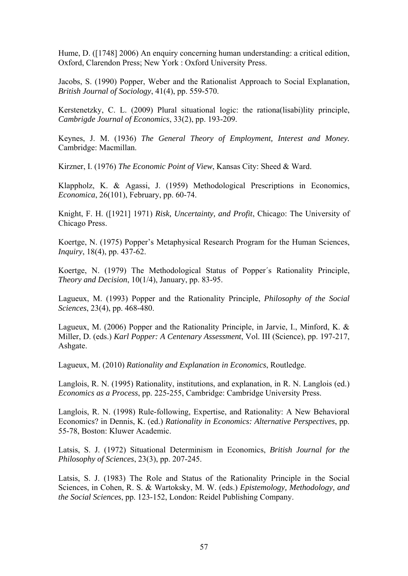Hume, D. ([1748] 2006) An enquiry concerning human understanding: a critical edition, Oxford, Clarendon Press; New York : Oxford University Press.

Jacobs, S. (1990) Popper, Weber and the Rationalist Approach to Social Explanation, *British Journal of Sociology*, 41(4), pp. 559-570.

Kerstenetzky, C. L. (2009) Plural situational logic: the rationa(lisabi)lity principle, *Cambrigde Journal of Economics*, 33(2), pp. 193-209.

Keynes, J. M. (1936) *The General Theory of Employment, Interest and Money.* Cambridge: Macmillan.

Kirzner, I. (1976) *The Economic Point of View*, Kansas City: Sheed & Ward.

Klappholz, K. & Agassi, J. (1959) Methodological Prescriptions in Economics, *Economica*, 26(101), February, pp. 60-74.

Knight, F. H. ([1921] 1971) *Risk, Uncertainty, and Profit*, Chicago: The University of Chicago Press.

Koertge, N. (1975) Popper's Metaphysical Research Program for the Human Sciences, *Inquiry*, 18(4), pp. 437-62.

Koertge, N. (1979) The Methodological Status of Popper´s Rationality Principle, *Theory and Decision*, 10(1/4), January, pp. 83-95.

Lagueux, M. (1993) Popper and the Rationality Principle, *Philosophy of the Social Sciences*, 23(4), pp. 468-480.

Lagueux, M. (2006) Popper and the Rationality Principle, in Jarvie, I., Minford, K. & Miller, D. (eds.) *Karl Popper: A Centenary Assessment*, Vol. III (Science), pp. 197-217, Ashgate.

Lagueux, M. (2010) *Rationality and Explanation in Economics*, Routledge.

Langlois, R. N. (1995) Rationality, institutions, and explanation, in R. N. Langlois (ed.) *Economics as a Process*, pp. 225-255, Cambridge: Cambridge University Press.

Langlois, R. N. (1998) Rule-following, Expertise, and Rationality: A New Behavioral Economics? in Dennis, K. (ed.) *Rationality in Economics: Alternative Perspectives*, pp. 55-78, Boston: Kluwer Academic.

Latsis, S. J. (1972) Situational Determinism in Economics, *British Journal for the Philosophy of Sciences*, 23(3), pp. 207-245.

Latsis, S. J. (1983) The Role and Status of the Rationality Principle in the Social Sciences, in Cohen, R. S. & Wartoksky, M. W. (eds.) *Epistemology, Methodology, and the Social Sciences*, pp. 123-152, London: Reidel Publishing Company.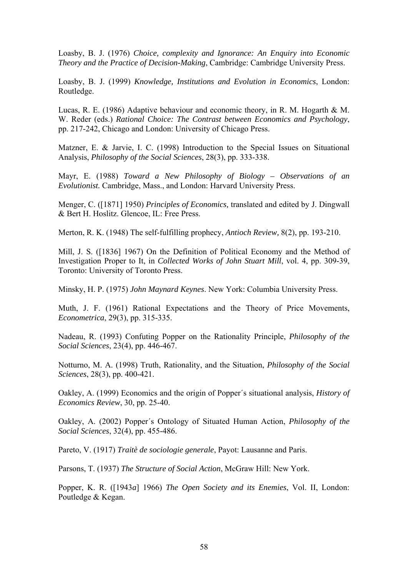Loasby, B. J. (1976) *Choice, complexity and Ignorance: An Enquiry into Economic Theory and the Practice of Decision-Making*, Cambridge: Cambridge University Press.

Loasby, B. J. (1999) *Knowledge, Institutions and Evolution in Economics*, London: Routledge.

Lucas, R. E. (1986) Adaptive behaviour and economic theory, in R. M. Hogarth & M. W. Reder (eds.) *Rational Choice: The Contrast between Economics and Psychology*, pp. 217-242, Chicago and London: University of Chicago Press.

Matzner, E. & Jarvie, I. C. (1998) Introduction to the Special Issues on Situational Analysis, *Philosophy of the Social Sciences*, 28(3), pp. 333-338.

Mayr, E. (1988) *Toward a New Philosophy of Biology – Observations of an Evolutionist.* Cambridge, Mass., and London: Harvard University Press.

Menger, C. ([1871] 1950) *Principles of Economics,* translated and edited by J. Dingwall & Bert H. Hoslitz. Glencoe, IL: Free Press.

Merton, R. K. (1948) The self-fulfilling prophecy, *Antioch Review,* 8(2), pp. 193-210.

Mill, J. S. ([1836] 1967) On the Definition of Political Economy and the Method of Investigation Proper to It, in *Collected Works of John Stuart Mill*, vol. 4, pp. 309-39, Toronto: University of Toronto Press.

Minsky, H. P. (1975) *John Maynard Keynes*. New York: Columbia University Press.

Muth, J. F. (1961) Rational Expectations and the Theory of Price Movements, *Econometrica*, 29(3), pp. 315-335.

Nadeau, R. (1993) Confuting Popper on the Rationality Principle, *Philosophy of the Social Sciences*, 23(4), pp. 446-467.

Notturno, M. A. (1998) Truth, Rationality, and the Situation, *Philosophy of the Social Sciences*, 28(3), pp. 400-421.

Oakley, A. (1999) Economics and the origin of Popper´s situational analysis, *History of Economics Review*, 30, pp. 25-40.

Oakley, A. (2002) Popper´s Ontology of Situated Human Action, *Philosophy of the Social Sciences*, 32(4), pp. 455-486.

Pareto, V. (1917) *Traitè de sociologie generale*, Payot: Lausanne and Paris.

Parsons, T. (1937) *The Structure of Social Action*, McGraw Hill: New York.

Popper, K. R. ([1943*a*] 1966) *The Open Society and its Enemies*, Vol. II, London: Poutledge & Kegan.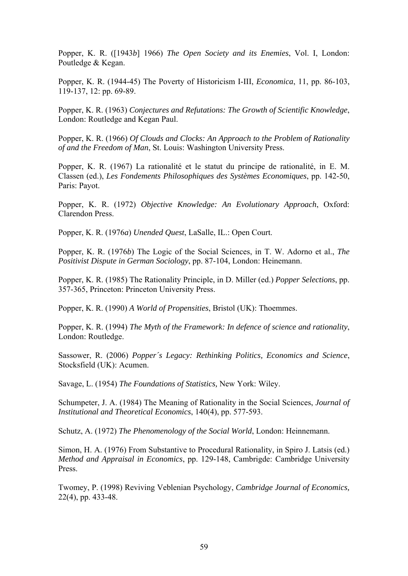Popper, K. R. ([1943*b*] 1966) *The Open Society and its Enemies*, Vol. I, London: Poutledge & Kegan.

Popper, K. R. (1944-45) The Poverty of Historicism I-III, *Economica*, 11, pp. 86-103, 119-137, 12: pp. 69-89.

Popper, K. R. (1963) *Conjectures and Refutations: The Growth of Scientific Knowledge*, London: Routledge and Kegan Paul.

Popper, K. R. (1966) *Of Clouds and Clocks: An Approach to the Problem of Rationality of and the Freedom of Man*, St. Louis: Washington University Press.

Popper, K. R. (1967) La rationalité et le statut du principe de rationalité, in E. M. Classen (ed.), *Les Fondements Philosophiques des Systèmes Economiques*, pp. 142-50, Paris: Payot.

Popper, K. R. (1972) *Objective Knowledge: An Evolutionary Approach*, Oxford: Clarendon Press.

Popper, K. R. (1976*a*) *Unended Quest*, LaSalle, IL.: Open Court.

Popper, K. R. (1976*b*) The Logic of the Social Sciences, in T. W. Adorno et al., *The Positivist Dispute in German Sociology*, pp. 87-104, London: Heinemann.

Popper, K. R. (1985) The Rationality Principle, in D. Miller (ed.) *Popper Selections*, pp. 357-365, Princeton: Princeton University Press.

Popper, K. R. (1990) *A World of Propensities*, Bristol (UK): Thoemmes.

Popper, K. R. (1994) *The Myth of the Framework: In defence of science and rationality*, London: Routledge.

Sassower, R. (2006) *Popper´s Legacy: Rethinking Politics, Economics and Science*, Stocksfield (UK): Acumen.

Savage, L. (1954) *The Foundations of Statistics,* New York: Wiley.

Schumpeter, J. A. (1984) The Meaning of Rationality in the Social Sciences, *Journal of Institutional and Theoretical Economics*, 140(4), pp. 577-593.

Schutz, A. (1972) *The Phenomenology of the Social World*, London: Heinnemann.

Simon, H. A. (1976) From Substantive to Procedural Rationality, in Spiro J. Latsis (ed.) *Method and Appraisal in Economics*, pp. 129-148, Cambrigde: Cambridge University Press.

Twomey, P. (1998) Reviving Veblenian Psychology, *Cambridge Journal of Economics,* 22(4), pp. 433-48.